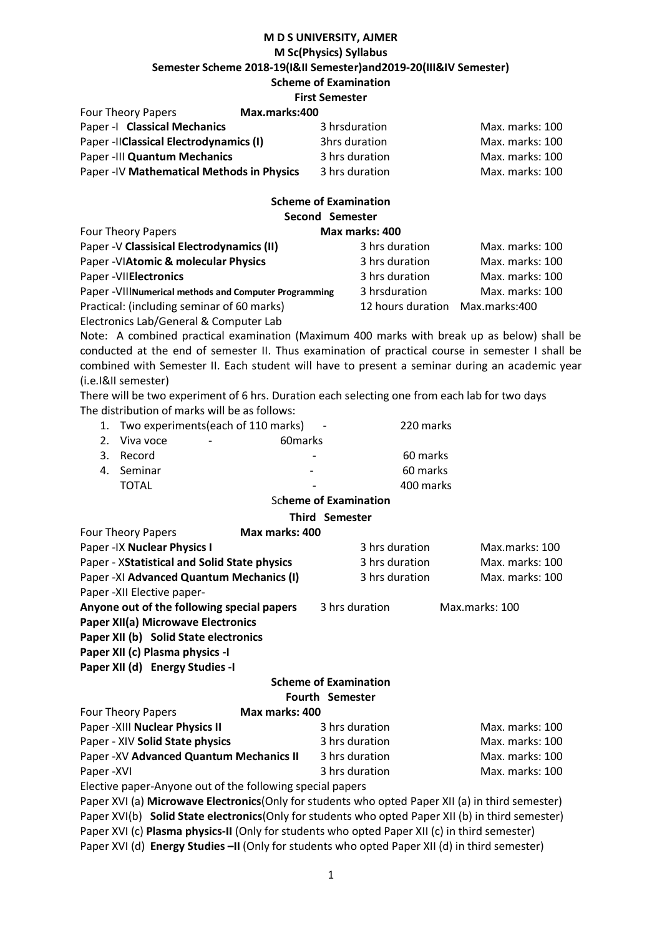# **M D S UNIVERSITY, AJMER M Sc(Physics) Syllabus Semester Scheme 2018-19(I&II Semester)and2019-20(III&IV Semester) Scheme of Examination**

# **First Semester**<br>May marks:400

Four Theory Papers **Max.marks:400**

| <b>FUUI THEUIV FAUEIS</b>                  | IVIAX.IIIAI NS.4UU |                 |
|--------------------------------------------|--------------------|-----------------|
| Paper - I Classical Mechanics              | 3 hrsduration      | Max. marks: 100 |
| Paper -IIClassical Electrodynamics (I)     | 3hrs duration      | Max. marks: 100 |
| Paper -III Quantum Mechanics               | 3 hrs duration     | Max. marks: 100 |
| Paper - IV Mathematical Methods in Physics | 3 hrs duration     | Max. marks: 100 |

#### **Scheme of Examination Second Semester** Four Theory Papers **Max marks: 400**

| Four Theory Papers                                      | IVIAX marks: 400                |                 |
|---------------------------------------------------------|---------------------------------|-----------------|
| Paper - V Classisical Electrodynamics (II)              | 3 hrs duration                  | Max. marks: 100 |
| Paper - VIAtomic & molecular Physics                    | 3 hrs duration                  | Max. marks: 100 |
| Paper - VIIElectronics                                  | 3 hrs duration                  | Max. marks: 100 |
| Paper - VIII Numerical methods and Computer Programming | 3 hrsduration                   | Max. marks: 100 |
| Practical: (including seminar of 60 marks)              | 12 hours duration Max.marks:400 |                 |
| Electronics Lab/General & Computer Lab                  |                                 |                 |

Note: A combined practical examination (Maximum 400 marks with break up as below) shall be conducted at the end of semester II. Thus examination of practical course in semester I shall be combined with Semester II. Each student will have to present a seminar during an academic year (i.e.I&II semester)

There will be two experiment of 6 hrs. Duration each selecting one from each lab for two days The distribution of marks will be as follows:

| 1. Two experiments (each of 110 marks)<br>$\sim$ |                          |                          | 220 marks |
|--------------------------------------------------|--------------------------|--------------------------|-----------|
| 2. Viva voce                                     | $\overline{\phantom{a}}$ | 60 marks                 |           |
| 3. Record                                        |                          |                          | 60 marks  |
| 4. Seminar                                       |                          | $\overline{\phantom{0}}$ | 60 marks  |
| TOTAL                                            |                          |                          | 400 marks |

# Sc**heme of Examination**

# **Third Semester**

| <b>Four Theory Papers</b>                    | Max marks: 400 |                                  |                 |
|----------------------------------------------|----------------|----------------------------------|-----------------|
| Paper - IX Nuclear Physics I                 |                | 3 hrs duration                   | Max.marks: 100  |
| Paper - XStatistical and Solid State physics |                | 3 hrs duration                   | Max. marks: 100 |
| Paper -XI Advanced Quantum Mechanics (I)     |                | 3 hrs duration                   | Max. marks: 100 |
| Paper - XII Elective paper-                  |                |                                  |                 |
| Anyone out of the following special papers   |                | 3 hrs duration<br>Max.marks: 100 |                 |
| Paper XII(a) Microwave Electronics           |                |                                  |                 |
| Paper XII (b) Solid State electronics        |                |                                  |                 |
| Paper XII (c) Plasma physics -I              |                |                                  |                 |
| Paper XII (d) Energy Studies -I              |                |                                  |                 |

#### **Scheme of Examination Fourth Semester**

| <b>Four Theory Papers</b>                | Max marks: 400 |                 |
|------------------------------------------|----------------|-----------------|
| Paper - XIII Nuclear Physics II          | 3 hrs duration | Max. marks: 100 |
| Paper - XIV Solid State physics          | 3 hrs duration | Max. marks: 100 |
| Paper - XV Advanced Quantum Mechanics II | 3 hrs duration | Max. marks: 100 |
| Paper -XVI                               | 3 hrs duration | Max. marks: 100 |

Elective paper-Anyone out of the following special papers

Paper XVI (a) **Microwave Electronics**(Only for students who opted Paper XII (a) in third semester) Paper XVI(b) **Solid State electronics**(Only for students who opted Paper XII (b) in third semester) Paper XVI (c) **Plasma physics-II** (Only for students who opted Paper XII (c) in third semester) Paper XVI (d) **Energy Studies –II** (Only for students who opted Paper XII (d) in third semester)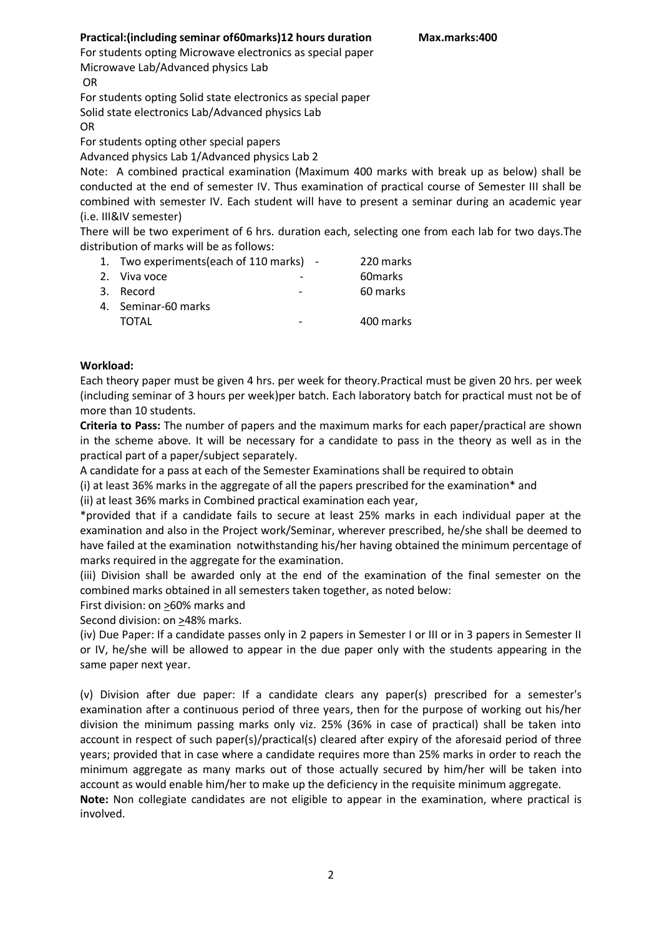# **Practical:(including seminar of60marks)12 hours duration Max.marks:400**

For students opting Microwave electronics as special paper Microwave Lab/Advanced physics Lab **OR** 

For students opting Solid state electronics as special paper Solid state electronics Lab/Advanced physics Lab

OR

For students opting other special papers

Advanced physics Lab 1/Advanced physics Lab 2

Note: A combined practical examination (Maximum 400 marks with break up as below) shall be conducted at the end of semester IV. Thus examination of practical course of Semester III shall be combined with semester IV. Each student will have to present a seminar during an academic year (i.e. III&IV semester)

There will be two experiment of 6 hrs. duration each, selecting one from each lab for two days.The distribution of marks will be as follows:

| 1. Two experiments (each of 110 marks) - |  | 220 marks |
|------------------------------------------|--|-----------|
| 2. Viva voce                             |  | 60 marks  |
| 3. Record                                |  | 60 marks  |
| 4. Seminar-60 marks                      |  |           |
| TOTAL                                    |  | 400 marks |

# **Workload:**

Each theory paper must be given 4 hrs. per week for theory.Practical must be given 20 hrs. per week (including seminar of 3 hours per week)per batch. Each laboratory batch for practical must not be of more than 10 students.

**Criteria to Pass:** The number of papers and the maximum marks for each paper/practical are shown in the scheme above. It will be necessary for a candidate to pass in the theory as well as in the practical part of a paper/subject separately.

A candidate for a pass at each of the Semester Examinations shall be required to obtain

(i) at least 36% marks in the aggregate of all the papers prescribed for the examination\* and

(ii) at least 36% marks in Combined practical examination each year,

\*provided that if a candidate fails to secure at least 25% marks in each individual paper at the examination and also in the Project work/Seminar, wherever prescribed, he/she shall be deemed to have failed at the examination notwithstanding his/her having obtained the minimum percentage of marks required in the aggregate for the examination.

(iii) Division shall be awarded only at the end of the examination of the final semester on the combined marks obtained in all semesters taken together, as noted below:

First division: on >60% marks and

Second division: on >48% marks.

(iv) Due Paper: If a candidate passes only in 2 papers in Semester I or III or in 3 papers in Semester II or IV, he/she will be allowed to appear in the due paper only with the students appearing in the same paper next year.

(v) Division after due paper: If a candidate clears any paper(s) prescribed for a semester's examination after a continuous period of three years, then for the purpose of working out his/her division the minimum passing marks only viz. 25% (36% in case of practical) shall be taken into account in respect of such paper(s)/practical(s) cleared after expiry of the aforesaid period of three years; provided that in case where a candidate requires more than 25% marks in order to reach the minimum aggregate as many marks out of those actually secured by him/her will be taken into account as would enable him/her to make up the deficiency in the requisite minimum aggregate.

**Note:** Non collegiate candidates are not eligible to appear in the examination, where practical is involved.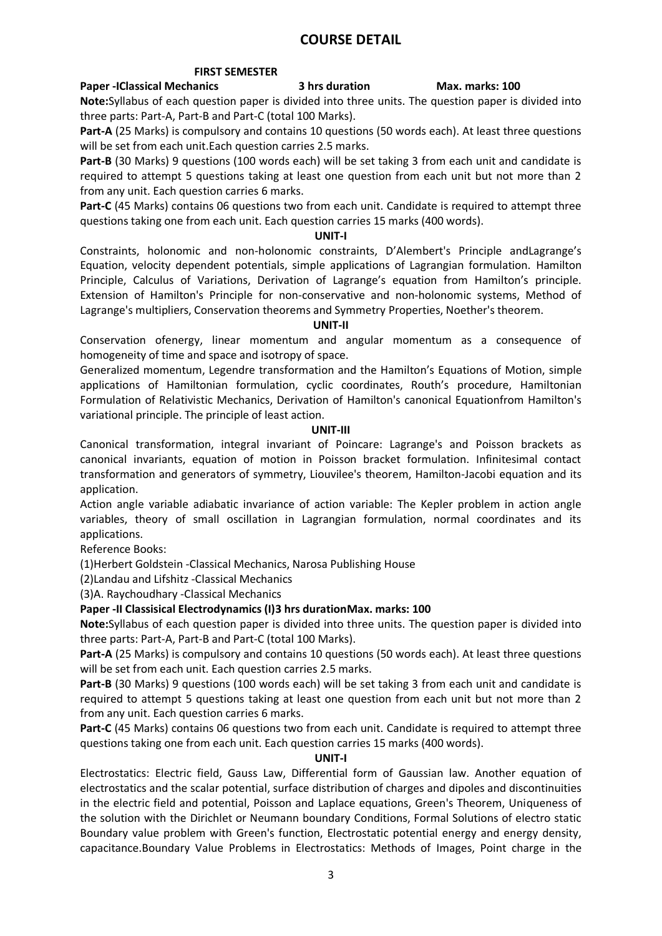# **COURSE DETAIL**

#### **FIRST SEMESTER**

# **Paper -IClassical Mechanics 3 hrs duration Max. marks: 100**

**Note:**Syllabus of each question paper is divided into three units. The question paper is divided into three parts: Part-A, Part-B and Part-C (total 100 Marks).

**Part-A** (25 Marks) is compulsory and contains 10 questions (50 words each). At least three questions will be set from each unit.Each question carries 2.5 marks.

**Part-B** (30 Marks) 9 questions (100 words each) will be set taking 3 from each unit and candidate is required to attempt 5 questions taking at least one question from each unit but not more than 2 from any unit. Each question carries 6 marks.

**Part-C** (45 Marks) contains 06 questions two from each unit. Candidate is required to attempt three questions taking one from each unit. Each question carries 15 marks (400 words).

# **UNIT-I**

Constraints, holonomic and non-holonomic constraints, D'Alembert's Principle andLagrange's Equation, velocity dependent potentials, simple applications of Lagrangian formulation. Hamilton Principle, Calculus of Variations, Derivation of Lagrange's equation from Hamilton's principle. Extension of Hamilton's Principle for non-conservative and non-holonomic systems, Method of Lagrange's multipliers, Conservation theorems and Symmetry Properties, Noether's theorem.

#### **UNIT-II**

Conservation ofenergy, linear momentum and angular momentum as a consequence of homogeneity of time and space and isotropy of space.

Generalized momentum, Legendre transformation and the Hamilton's Equations of Motion, simple applications of Hamiltonian formulation, cyclic coordinates, Routh's procedure, Hamiltonian Formulation of Relativistic Mechanics, Derivation of Hamilton's canonical Equationfrom Hamilton's variational principle. The principle of least action.

#### **UNIT-III**

Canonical transformation, integral invariant of Poincare: Lagrange's and Poisson brackets as canonical invariants, equation of motion in Poisson bracket formulation. Infinitesimal contact transformation and generators of symmetry, Liouvilee's theorem, Hamilton-Jacobi equation and its application.

Action angle variable adiabatic invariance of action variable: The Kepler problem in action angle variables, theory of small oscillation in Lagrangian formulation, normal coordinates and its applications.

Reference Books:

(1)Herbert Goldstein -Classical Mechanics, Narosa Publishing House

(2)Landau and Lifshitz -Classical Mechanics

(3)A. Raychoudhary -Classical Mechanics

# **Paper -II Classisical Electrodynamics (I)3 hrs durationMax. marks: 100**

**Note:**Syllabus of each question paper is divided into three units. The question paper is divided into three parts: Part-A, Part-B and Part-C (total 100 Marks).

**Part-A** (25 Marks) is compulsory and contains 10 questions (50 words each). At least three questions will be set from each unit. Each question carries 2.5 marks.

**Part-B** (30 Marks) 9 questions (100 words each) will be set taking 3 from each unit and candidate is required to attempt 5 questions taking at least one question from each unit but not more than 2 from any unit. Each question carries 6 marks.

**Part-C** (45 Marks) contains 06 questions two from each unit. Candidate is required to attempt three questions taking one from each unit. Each question carries 15 marks (400 words).

# **UNIT-I**

Electrostatics: Electric field, Gauss Law, Differential form of Gaussian law. Another equation of electrostatics and the scalar potential, surface distribution of charges and dipoles and discontinuities in the electric field and potential, Poisson and Laplace equations, Green's Theorem, Uniqueness of the solution with the Dirichlet or Neumann boundary Conditions, Formal Solutions of electro static Boundary value problem with Green's function, Electrostatic potential energy and energy density, capacitance.Boundary Value Problems in Electrostatics: Methods of Images, Point charge in the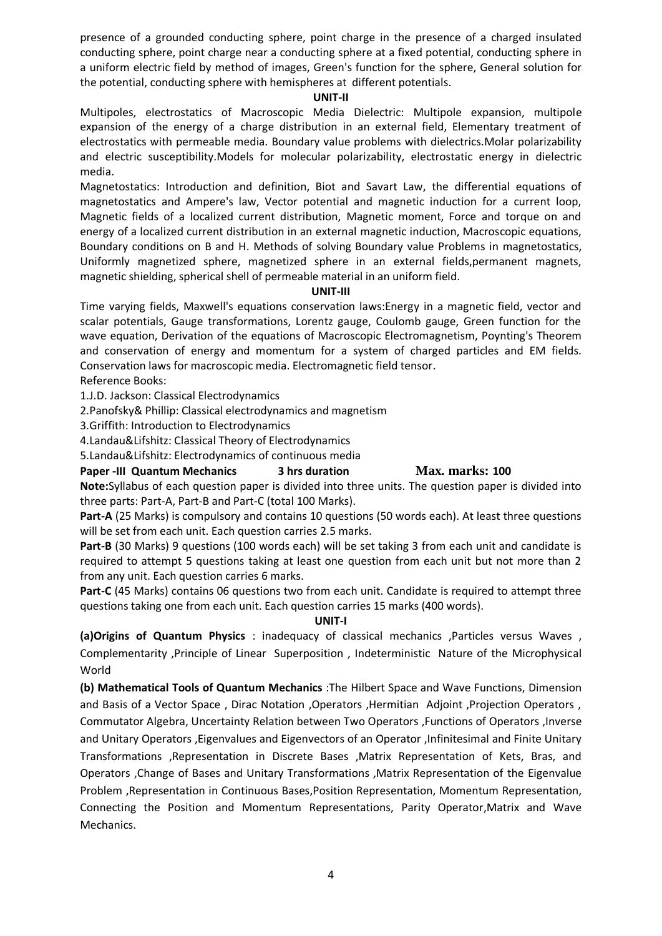presence of a grounded conducting sphere, point charge in the presence of a charged insulated conducting sphere, point charge near a conducting sphere at a fixed potential, conducting sphere in a uniform electric field by method of images, Green's function for the sphere, General solution for the potential, conducting sphere with hemispheres at different potentials.

# **UNIT-II**

Multipoles, electrostatics of Macroscopic Media Dielectric: Multipole expansion, multipole expansion of the energy of a charge distribution in an external field, Elementary treatment of electrostatics with permeable media. Boundary value problems with dielectrics.Molar polarizability and electric susceptibility.Models for molecular polarizability, electrostatic energy in dielectric media.

Magnetostatics: Introduction and definition, Biot and Savart Law, the differential equations of magnetostatics and Ampere's law, Vector potential and magnetic induction for a current loop, Magnetic fields of a localized current distribution, Magnetic moment, Force and torque on and energy of a localized current distribution in an external magnetic induction, Macroscopic equations, Boundary conditions on B and H. Methods of solving Boundary value Problems in magnetostatics, Uniformly magnetized sphere, magnetized sphere in an external fields,permanent magnets, magnetic shielding, spherical shell of permeable material in an uniform field.

#### **UNIT-III**

Time varying fields, Maxwell's equations conservation laws:Energy in a magnetic field, vector and scalar potentials, Gauge transformations, Lorentz gauge, Coulomb gauge, Green function for the wave equation, Derivation of the equations of Macroscopic Electromagnetism, Poynting's Theorem and conservation of energy and momentum for a system of charged particles and EM fields. Conservation laws for macroscopic media. Electromagnetic field tensor.

Reference Books:

1.J.D. Jackson: Classical Electrodynamics

2.Panofsky& Phillip: Classical electrodynamics and magnetism

3.Griffith: Introduction to Electrodynamics

4.Landau&Lifshitz: Classical Theory of Electrodynamics

5.Landau&Lifshitz: Electrodynamics of continuous media

**Paper -III Quantum Mechanics 3 hrs duration Max. marks: 100**

**Note:**Syllabus of each question paper is divided into three units. The question paper is divided into three parts: Part-A, Part-B and Part-C (total 100 Marks).

**Part-A** (25 Marks) is compulsory and contains 10 questions (50 words each). At least three questions will be set from each unit. Each question carries 2.5 marks.

**Part-B** (30 Marks) 9 questions (100 words each) will be set taking 3 from each unit and candidate is required to attempt 5 questions taking at least one question from each unit but not more than 2 from any unit. Each question carries 6 marks.

**Part-C** (45 Marks) contains 06 questions two from each unit. Candidate is required to attempt three questions taking one from each unit. Each question carries 15 marks (400 words).

# **UNIT-I**

**(a)Origins of Quantum Physics** : inadequacy of classical mechanics ,Particles versus Waves , Complementarity ,Principle of Linear Superposition , Indeterministic Nature of the Microphysical World

**(b) Mathematical Tools of Quantum Mechanics** :The Hilbert Space and Wave Functions, Dimension and Basis of a Vector Space, Dirac Notation , Operators , Hermitian Adjoint , Projection Operators , Commutator Algebra, Uncertainty Relation between Two Operators ,Functions of Operators ,Inverse and Unitary Operators ,Eigenvalues and Eigenvectors of an Operator ,Infinitesimal and Finite Unitary Transformations ,Representation in Discrete Bases ,Matrix Representation of Kets, Bras, and Operators ,Change of Bases and Unitary Transformations ,Matrix Representation of the Eigenvalue Problem ,Representation in Continuous Bases,Position Representation, Momentum Representation, Connecting the Position and Momentum Representations, Parity Operator,Matrix and Wave Mechanics.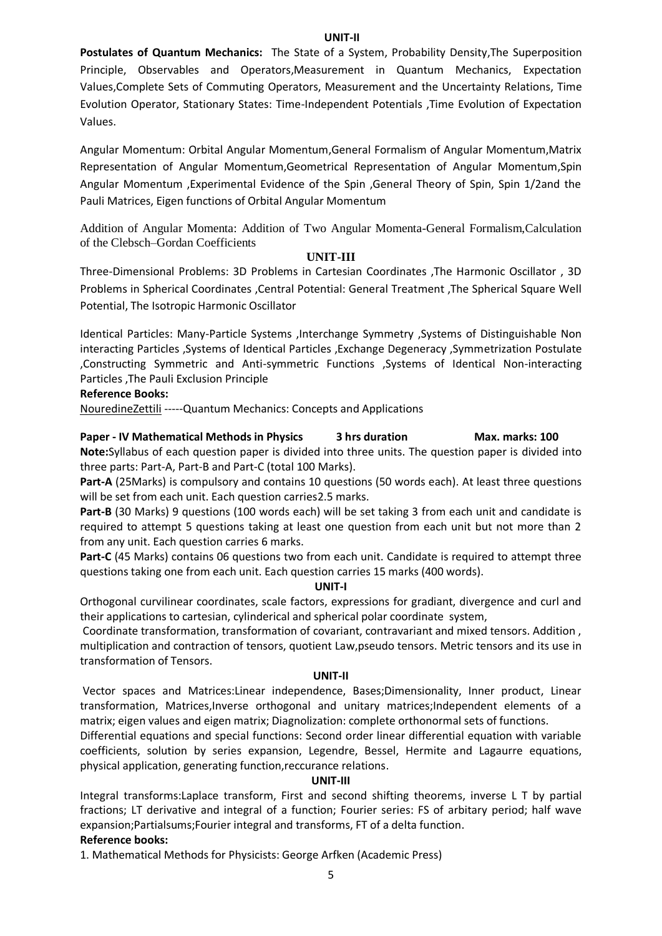#### **UNIT-II**

**Postulates of Quantum Mechanics:** The State of a System, Probability Density,The Superposition Principle, Observables and Operators,Measurement in Quantum Mechanics, Expectation Values,Complete Sets of Commuting Operators, Measurement and the Uncertainty Relations, Time Evolution Operator, Stationary States: Time-Independent Potentials ,Time Evolution of Expectation Values.

Angular Momentum: Orbital Angular Momentum,General Formalism of Angular Momentum,Matrix Representation of Angular Momentum,Geometrical Representation of Angular Momentum,Spin Angular Momentum ,Experimental Evidence of the Spin ,General Theory of Spin, Spin 1/2and the Pauli Matrices, Eigen functions of Orbital Angular Momentum

Addition of Angular Momenta: Addition of Two Angular Momenta-General Formalism,Calculation of the Clebsch–Gordan Coefficients

#### **UNIT-III**

Three-Dimensional Problems: 3D Problems in Cartesian Coordinates ,The Harmonic Oscillator , 3D Problems in Spherical Coordinates ,Central Potential: General Treatment ,The Spherical Square Well Potential, The Isotropic Harmonic Oscillator

Identical Particles: Many-Particle Systems ,Interchange Symmetry ,Systems of Distinguishable Non interacting Particles ,Systems of Identical Particles ,Exchange Degeneracy ,Symmetrization Postulate ,Constructing Symmetric and Anti-symmetric Functions ,Systems of Identical Non-interacting Particles ,The Pauli Exclusion Principle

#### **Reference Books:**

[NouredineZettili](https://www.chegg.com/homework-help/nouredine-zettili-author) -----Quantum Mechanics: Concepts and Applications

**Paper - IV Mathematical Methods in Physics 3 hrs duration Max. marks: 100 Note:**Syllabus of each question paper is divided into three units. The question paper is divided into three parts: Part-A, Part-B and Part-C (total 100 Marks).

**Part-A** (25Marks) is compulsory and contains 10 questions (50 words each). At least three questions will be set from each unit. Each question carries2.5 marks.

**Part-B** (30 Marks) 9 questions (100 words each) will be set taking 3 from each unit and candidate is required to attempt 5 questions taking at least one question from each unit but not more than 2 from any unit. Each question carries 6 marks.

Part-C (45 Marks) contains 06 questions two from each unit. Candidate is required to attempt three questions taking one from each unit. Each question carries 15 marks (400 words).

#### **UNIT-I**

Orthogonal curvilinear coordinates, scale factors, expressions for gradiant, divergence and curl and their applications to cartesian, cylinderical and spherical polar coordinate system,

Coordinate transformation, transformation of covariant, contravariant and mixed tensors. Addition , multiplication and contraction of tensors, quotient Law,pseudo tensors. Metric tensors and its use in transformation of Tensors.

#### **UNIT-II**

Vector spaces and Matrices:Linear independence, Bases;Dimensionality, Inner product, Linear transformation, Matrices,Inverse orthogonal and unitary matrices;Independent elements of a matrix; eigen values and eigen matrix; Diagnolization: complete orthonormal sets of functions.

Differential equations and special functions: Second order linear differential equation with variable coefficients, solution by series expansion, Legendre, Bessel, Hermite and Lagaurre equations, physical application, generating function,reccurance relations.

#### **UNIT-III**

Integral transforms:Laplace transform, First and second shifting theorems, inverse L T by partial fractions; LT derivative and integral of a function; Fourier series: FS of arbitary period; half wave expansion;Partialsums;Fourier integral and transforms, FT of a delta function.

# **Reference books:**

1. Mathematical Methods for Physicists: George Arfken (Academic Press)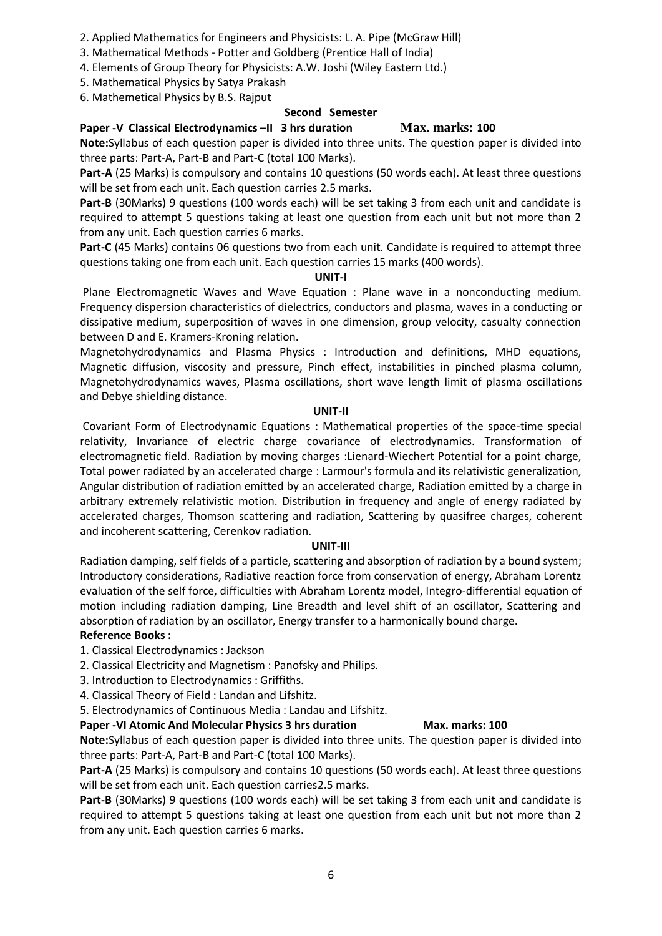- 2. Applied Mathematics for Engineers and Physicists: L. A. Pipe (McGraw Hill)
- 3. Mathematical Methods Potter and Goldberg (Prentice Hall of India)
- 4. Elements of Group Theory for Physicists: A.W. Joshi (Wiley Eastern Ltd.)

5. Mathematical Physics by Satya Prakash

6. Mathemetical Physics by B.S. Rajput

# **Second Semester**

# **Paper -V Classical Electrodynamics –II 3 hrs duration Max. marks: 100**

**Note:**Syllabus of each question paper is divided into three units. The question paper is divided into three parts: Part-A, Part-B and Part-C (total 100 Marks).

**Part-A** (25 Marks) is compulsory and contains 10 questions (50 words each). At least three questions will be set from each unit. Each question carries 2.5 marks.

**Part-B** (30Marks) 9 questions (100 words each) will be set taking 3 from each unit and candidate is required to attempt 5 questions taking at least one question from each unit but not more than 2 from any unit. Each question carries 6 marks.

**Part-C** (45 Marks) contains 06 questions two from each unit. Candidate is required to attempt three questions taking one from each unit. Each question carries 15 marks (400 words).

# **UNIT-I**

Plane Electromagnetic Waves and Wave Equation : Plane wave in a nonconducting medium. Frequency dispersion characteristics of dielectrics, conductors and plasma, waves in a conducting or dissipative medium, superposition of waves in one dimension, group velocity, casualty connection between D and E. Kramers-Kroning relation.

Magnetohydrodynamics and Plasma Physics : Introduction and definitions, MHD equations, Magnetic diffusion, viscosity and pressure, Pinch effect, instabilities in pinched plasma column, Magnetohydrodynamics waves, Plasma oscillations, short wave length limit of plasma oscillations and Debye shielding distance.

# **UNIT-II**

Covariant Form of Electrodynamic Equations : Mathematical properties of the space-time special relativity, Invariance of electric charge covariance of electrodynamics. Transformation of electromagnetic field. Radiation by moving charges :Lienard-Wiechert Potential for a point charge, Total power radiated by an accelerated charge : Larmour's formula and its relativistic generalization, Angular distribution of radiation emitted by an accelerated charge, Radiation emitted by a charge in arbitrary extremely relativistic motion. Distribution in frequency and angle of energy radiated by accelerated charges, Thomson scattering and radiation, Scattering by quasifree charges, coherent and incoherent scattering, Cerenkov radiation.

# **UNIT-III**

Radiation damping, self fields of a particle, scattering and absorption of radiation by a bound system; Introductory considerations, Radiative reaction force from conservation of energy, Abraham Lorentz evaluation of the self force, difficulties with Abraham Lorentz model, Integro-differential equation of motion including radiation damping, Line Breadth and level shift of an oscillator, Scattering and absorption of radiation by an oscillator, Energy transfer to a harmonically bound charge. **Reference Books :**

1. Classical Electrodynamics : Jackson

- 2. Classical Electricity and Magnetism : Panofsky and Philips.
- 3. Introduction to Electrodynamics : Griffiths.
- 4. Classical Theory of Field : Landan and Lifshitz.

5. Electrodynamics of Continuous Media : Landau and Lifshitz.

# **Paper -VI Atomic And Molecular Physics 3 hrs duration Max. marks: 100**

**Note:**Syllabus of each question paper is divided into three units. The question paper is divided into three parts: Part-A, Part-B and Part-C (total 100 Marks).

**Part-A** (25 Marks) is compulsory and contains 10 questions (50 words each). At least three questions will be set from each unit. Each question carries2.5 marks.

**Part-B** (30Marks) 9 questions (100 words each) will be set taking 3 from each unit and candidate is required to attempt 5 questions taking at least one question from each unit but not more than 2 from any unit. Each question carries 6 marks.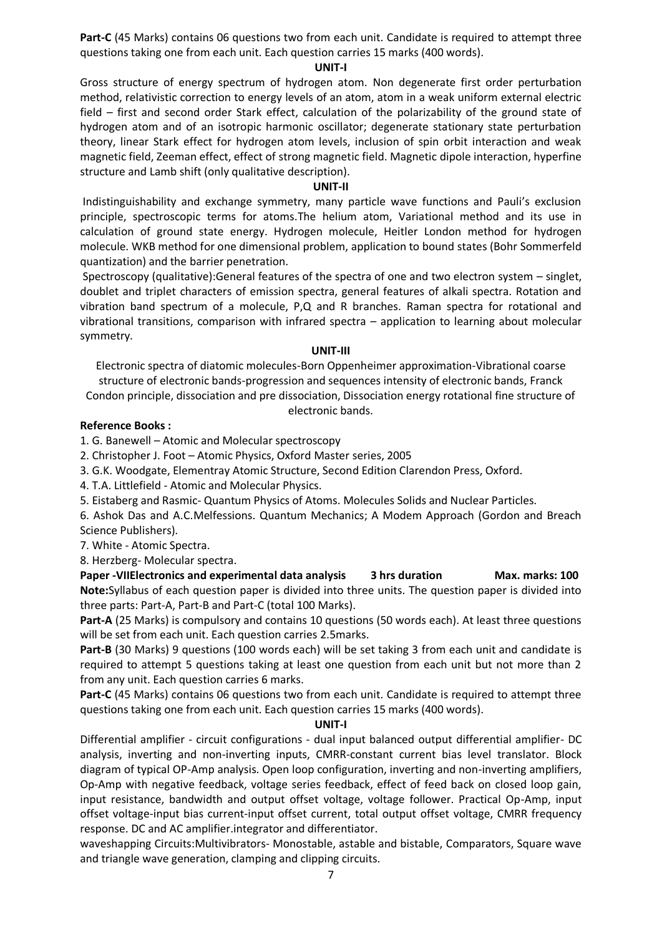**Part-C** (45 Marks) contains 06 questions two from each unit. Candidate is required to attempt three questions taking one from each unit. Each question carries 15 marks (400 words).

#### **UNIT-I**

Gross structure of energy spectrum of hydrogen atom. Non degenerate first order perturbation method, relativistic correction to energy levels of an atom, atom in a weak uniform external electric field – first and second order Stark effect, calculation of the polarizability of the ground state of hydrogen atom and of an isotropic harmonic oscillator; degenerate stationary state perturbation theory, linear Stark effect for hydrogen atom levels, inclusion of spin orbit interaction and weak magnetic field, Zeeman effect, effect of strong magnetic field. Magnetic dipole interaction, hyperfine structure and Lamb shift (only qualitative description).

# **UNIT-II**

Indistinguishability and exchange symmetry, many particle wave functions and Pauli's exclusion principle, spectroscopic terms for atoms.The helium atom, Variational method and its use in calculation of ground state energy. Hydrogen molecule, Heitler London method for hydrogen molecule. WKB method for one dimensional problem, application to bound states (Bohr Sommerfeld quantization) and the barrier penetration.

Spectroscopy (qualitative):General features of the spectra of one and two electron system – singlet, doublet and triplet characters of emission spectra, general features of alkali spectra. Rotation and vibration band spectrum of a molecule, P,Q and R branches. Raman spectra for rotational and vibrational transitions, comparison with infrared spectra – application to learning about molecular symmetry.

# **UNIT-III**

Electronic spectra of diatomic molecules-Born Oppenheimer approximation-Vibrational coarse structure of electronic bands-progression and sequences intensity of electronic bands, Franck Condon principle, dissociation and pre dissociation, Dissociation energy rotational fine structure of

electronic bands.

# **Reference Books :**

1. G. Banewell – Atomic and Molecular spectroscopy

2. Christopher J. Foot – Atomic Physics, Oxford Master series, 2005

3. G.K. Woodgate, Elementray Atomic Structure, Second Edition Clarendon Press, Oxford.

4. T.A. Littlefield - Atomic and Molecular Physics.

5. Eistaberg and Rasmic- Quantum Physics of Atoms. Molecules Solids and Nuclear Particles.

6. Ashok Das and A.C.Melfessions. Quantum Mechanics; A Modem Approach (Gordon and Breach Science Publishers).

7. White - Atomic Spectra.

8. Herzberg- Molecular spectra.

Paper -VIIElectronics and experimental data analysis 3 hrs duration Max. marks: 100 **Note:**Syllabus of each question paper is divided into three units. The question paper is divided into three parts: Part-A, Part-B and Part-C (total 100 Marks).

**Part-A** (25 Marks) is compulsory and contains 10 questions (50 words each). At least three questions will be set from each unit. Each question carries 2.5marks.

Part-B (30 Marks) 9 questions (100 words each) will be set taking 3 from each unit and candidate is required to attempt 5 questions taking at least one question from each unit but not more than 2 from any unit. Each question carries 6 marks.

**Part-C** (45 Marks) contains 06 questions two from each unit. Candidate is required to attempt three questions taking one from each unit. Each question carries 15 marks (400 words).

# **UNIT-I**

Differential amplifier - circuit configurations - dual input balanced output differential amplifier- DC analysis, inverting and non-inverting inputs, CMRR-constant current bias level translator. Block diagram of typical OP-Amp analysis. Open loop configuration, inverting and non-inverting amplifiers, Op-Amp with negative feedback, voltage series feedback, effect of feed back on closed loop gain, input resistance, bandwidth and output offset voltage, voltage follower. Practical Op-Amp, input offset voltage-input bias current-input offset current, total output offset voltage, CMRR frequency response. DC and AC amplifier.integrator and differentiator.

waveshapping Circuits:Multivibrators- Monostable, astable and bistable, Comparators, Square wave and triangle wave generation, clamping and clipping circuits.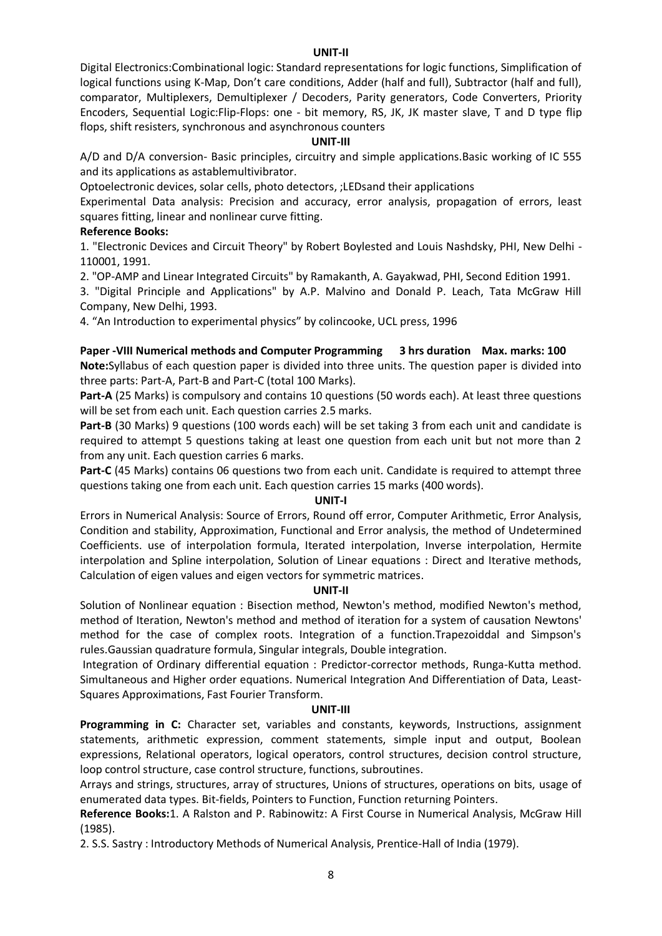#### **UNIT-II**

Digital Electronics:Combinational logic: Standard representations for logic functions, Simplification of logical functions using K-Map, Don't care conditions, Adder (half and full), Subtractor (half and full), comparator, Multiplexers, Demultiplexer / Decoders, Parity generators, Code Converters, Priority Encoders, Sequential Logic:Flip-Flops: one - bit memory, RS, JK, JK master slave, T and D type flip flops, shift resisters, synchronous and asynchronous counters

#### **UNIT-III**

A/D and D/A conversion- Basic principles, circuitry and simple applications.Basic working of IC 555 and its applications as astablemultivibrator.

Optoelectronic devices, solar cells, photo detectors, ;LEDsand their applications

Experimental Data analysis: Precision and accuracy, error analysis, propagation of errors, least squares fitting, linear and nonlinear curve fitting.

# **Reference Books:**

1. "Electronic Devices and Circuit Theory" by Robert Boylested and Louis Nashdsky, PHI, New Delhi - 110001, 1991.

2. "OP-AMP and Linear Integrated Circuits" by Ramakanth, A. Gayakwad, PHI, Second Edition 1991.

3. "Digital Principle and Applications" by A.P. Malvino and Donald P. Leach, Tata McGraw Hill Company, New Delhi, 1993.

4. "An Introduction to experimental physics" by colincooke, UCL press, 1996

#### **Paper -VIII Numerical methods and Computer Programming 3 hrs duration Max. marks: 100**

**Note:**Syllabus of each question paper is divided into three units. The question paper is divided into three parts: Part-A, Part-B and Part-C (total 100 Marks).

**Part-A** (25 Marks) is compulsory and contains 10 questions (50 words each). At least three questions will be set from each unit. Each question carries 2.5 marks.

**Part-B** (30 Marks) 9 questions (100 words each) will be set taking 3 from each unit and candidate is required to attempt 5 questions taking at least one question from each unit but not more than 2 from any unit. Each question carries 6 marks.

**Part-C** (45 Marks) contains 06 questions two from each unit. Candidate is required to attempt three questions taking one from each unit. Each question carries 15 marks (400 words).

#### **UNIT-I**

Errors in Numerical Analysis: Source of Errors, Round off error, Computer Arithmetic, Error Analysis, Condition and stability, Approximation, Functional and Error analysis, the method of Undetermined Coefficients. use of interpolation formula, Iterated interpolation, Inverse interpolation, Hermite interpolation and Spline interpolation, Solution of Linear equations : Direct and Iterative methods, Calculation of eigen values and eigen vectors for symmetric matrices.

# **UNIT-II**

Solution of Nonlinear equation : Bisection method, Newton's method, modified Newton's method, method of Iteration, Newton's method and method of iteration for a system of causation Newtons' method for the case of complex roots. Integration of a function.Trapezoiddal and Simpson's rules.Gaussian quadrature formula, Singular integrals, Double integration.

Integration of Ordinary differential equation : Predictor-corrector methods, Runga-Kutta method. Simultaneous and Higher order equations. Numerical Integration And Differentiation of Data, Least-Squares Approximations, Fast Fourier Transform.

#### **UNIT-III**

Programming in C: Character set, variables and constants, keywords, Instructions, assignment statements, arithmetic expression, comment statements, simple input and output, Boolean expressions, Relational operators, logical operators, control structures, decision control structure, loop control structure, case control structure, functions, subroutines.

Arrays and strings, structures, array of structures, Unions of structures, operations on bits, usage of enumerated data types. Bit-fields, Pointers to Function, Function returning Pointers.

**Reference Books:**1. A Ralston and P. Rabinowitz: A First Course in Numerical Analysis, McGraw Hill (1985).

2. S.S. Sastry : Introductory Methods of Numerical Analysis, Prentice-Hall of India (1979).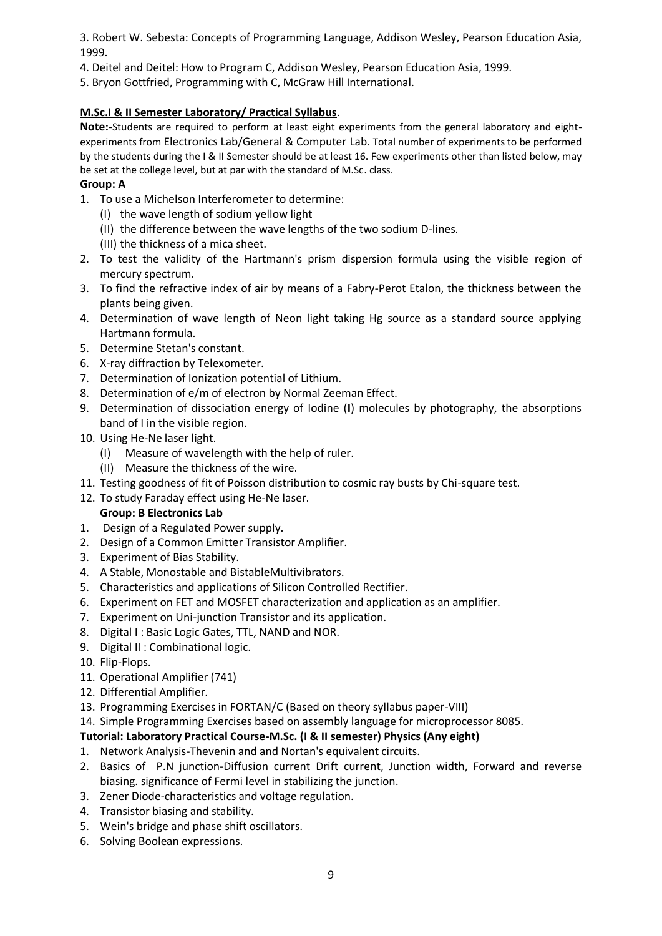3. Robert W. Sebesta: Concepts of Programming Language, Addison Wesley, Pearson Education Asia, 1999.

- 4. Deitel and Deitel: How to Program C, Addison Wesley, Pearson Education Asia, 1999.
- 5. Bryon Gottfried, Programming with C, McGraw Hill International.

# **M.Sc.I & II Semester Laboratory/ Practical Syllabus**.

**Note:-**Students are required to perform at least eight experiments from the general laboratory and eightexperiments from Electronics Lab/General & Computer Lab. Total number of experiments to be performed by the students during the I & II Semester should be at least 16. Few experiments other than listed below, may be set at the college level, but at par with the standard of M.Sc. class.

# **Group: A**

- 1. To use a Michelson Interferometer to determine:
	- (I) the wave length of sodium yellow light
	- (II) the difference between the wave lengths of the two sodium D-lines.
	- (III) the thickness of a mica sheet.
- 2. To test the validity of the Hartmann's prism dispersion formula using the visible region of mercury spectrum.
- 3. To find the refractive index of air by means of a Fabry-Perot Etalon, the thickness between the plants being given.
- 4. Determination of wave length of Neon light taking Hg source as a standard source applying Hartmann formula.
- 5. Determine Stetan's constant.
- 6. X-ray diffraction by Telexometer.
- 7. Determination of Ionization potential of Lithium.
- 8. Determination of e/m of electron by Normal Zeeman Effect.
- 9. Determination of dissociation energy of Iodine (**I**) molecules by photography, the absorptions band of I in the visible region.
- 10. Using He-Ne laser light.
	- (I) Measure of wavelength with the help of ruler.
	- (II) Measure the thickness of the wire.
- 11. Testing goodness of fit of Poisson distribution to cosmic ray busts by Chi-square test.
- 12. To study Faraday effect using He-Ne laser.

# **Group: B Electronics Lab**

- 1. Design of a Regulated Power supply.
- 2. Design of a Common Emitter Transistor Amplifier.
- 3. Experiment of Bias Stability.
- 4. A Stable, Monostable and BistableMultivibrators.
- 5. Characteristics and applications of Silicon Controlled Rectifier.
- 6. Experiment on FET and MOSFET characterization and application as an amplifier.
- 7. Experiment on Uni-junction Transistor and its application.
- 8. Digital I: Basic Logic Gates, TTL, NAND and NOR.
- 9. Digital II : Combinational logic.
- 10. Flip-Flops.
- 11. Operational Amplifier (741)
- 12. Differential Amplifier.
- 13. Programming Exercises in FORTAN/C (Based on theory syllabus paper-VIII)
- 14. Simple Programming Exercises based on assembly language for microprocessor 8085.

# **Tutorial: Laboratory Practical Course-M.Sc. (I & II semester) Physics (Any eight)**

- 1. Network Analysis-Thevenin and and Nortan's equivalent circuits.
- 2. Basics of P.N junction-Diffusion current Drift current, Junction width, Forward and reverse biasing. significance of Fermi level in stabilizing the junction.
- 3. Zener Diode-characteristics and voltage regulation.
- 4. Transistor biasing and stability.
- 5. Wein's bridge and phase shift oscillators.
- 6. Solving Boolean expressions.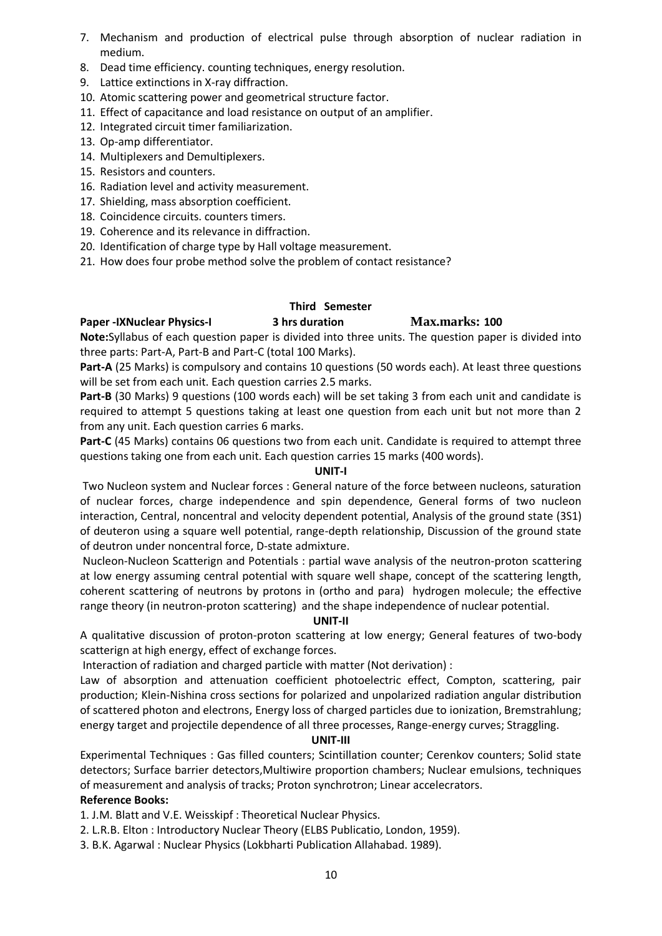- 7. Mechanism and production of electrical pulse through absorption of nuclear radiation in medium.
- 8. Dead time efficiency. counting techniques, energy resolution.
- 9. Lattice extinctions in X-ray diffraction.
- 10. Atomic scattering power and geometrical structure factor.
- 11. Effect of capacitance and load resistance on output of an amplifier.
- 12. Integrated circuit timer familiarization.
- 13. Op-amp differentiator.
- 14. Multiplexers and Demultiplexers.
- 15. Resistors and counters.
- 16. Radiation level and activity measurement.
- 17. Shielding, mass absorption coefficient.
- 18. Coincidence circuits. counters timers.
- 19. Coherence and its relevance in diffraction.
- 20. Identification of charge type by Hall voltage measurement.
- 21. How does four probe method solve the problem of contact resistance?

# **Third Semester**

#### **Paper -IXNuclear Physics-I 3 hrs duration Max.marks: 100**

**Note:**Syllabus of each question paper is divided into three units. The question paper is divided into three parts: Part-A, Part-B and Part-C (total 100 Marks).

**Part-A** (25 Marks) is compulsory and contains 10 questions (50 words each). At least three questions will be set from each unit. Each question carries 2.5 marks.

**Part-B** (30 Marks) 9 questions (100 words each) will be set taking 3 from each unit and candidate is required to attempt 5 questions taking at least one question from each unit but not more than 2 from any unit. Each question carries 6 marks.

Part-C (45 Marks) contains 06 questions two from each unit. Candidate is required to attempt three questions taking one from each unit. Each question carries 15 marks (400 words).

# **UNIT-I**

Two Nucleon system and Nuclear forces : General nature of the force between nucleons, saturation of nuclear forces, charge independence and spin dependence, General forms of two nucleon interaction, Central, noncentral and velocity dependent potential, Analysis of the ground state (3S1) of deuteron using a square well potential, range-depth relationship, Discussion of the ground state of deutron under noncentral force, D-state admixture.

Nucleon-Nucleon Scatterign and Potentials : partial wave analysis of the neutron-proton scattering at low energy assuming central potential with square well shape, concept of the scattering length, coherent scattering of neutrons by protons in (ortho and para) hydrogen molecule; the effective range theory (in neutron-proton scattering) and the shape independence of nuclear potential.

# **UNIT-II**

A qualitative discussion of proton-proton scattering at low energy; General features of two-body scatterign at high energy, effect of exchange forces.

Interaction of radiation and charged particle with matter (Not derivation) :

Law of absorption and attenuation coefficient photoelectric effect, Compton, scattering, pair production; Klein-Nishina cross sections for polarized and unpolarized radiation angular distribution of scattered photon and electrons, Energy loss of charged particles due to ionization, Bremstrahlung; energy target and projectile dependence of all three processes, Range-energy curves; Straggling.

# **UNIT-III**

Experimental Techniques : Gas filled counters; Scintillation counter; Cerenkov counters; Solid state detectors; Surface barrier detectors,Multiwire proportion chambers; Nuclear emulsions, techniques of measurement and analysis of tracks; Proton synchrotron; Linear accelecrators.

# **Reference Books:**

1. J.M. Blatt and V.E. Weisskipf : Theoretical Nuclear Physics.

- 2. L.R.B. Elton : Introductory Nuclear Theory (ELBS Publicatio, London, 1959).
- 3. B.K. Agarwal : Nuclear Physics (Lokbharti Publication Allahabad. 1989).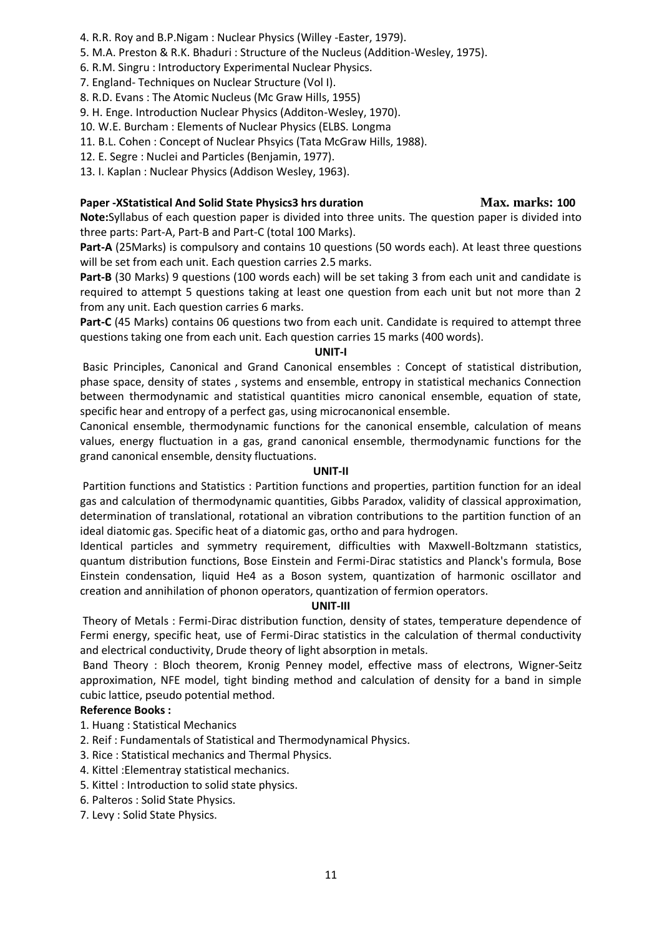- 4. R.R. Roy and B.P.Nigam : Nuclear Physics (Willey -Easter, 1979).
- 5. M.A. Preston & R.K. Bhaduri : Structure of the Nucleus (Addition-Wesley, 1975).
- 6. R.M. Singru : Introductory Experimental Nuclear Physics.
- 7. England- Techniques on Nuclear Structure (Vol I).
- 8. R.D. Evans : The Atomic Nucleus (Mc Graw Hills, 1955)
- 9. H. Enge. Introduction Nuclear Physics (Additon-Wesley, 1970).
- 10. W.E. Burcham : Elements of Nuclear Physics (ELBS. Longma
- 11. B.L. Cohen : Concept of Nuclear Phsyics (Tata McGraw Hills, 1988).
- 12. E. Segre : Nuclei and Particles (Benjamin, 1977).
- 13. I. Kaplan : Nuclear Physics (Addison Wesley, 1963).

# **Paper -XStatistical And Solid State Physics3 hrs duration Max. marks: 100**

**Note:**Syllabus of each question paper is divided into three units. The question paper is divided into three parts: Part-A, Part-B and Part-C (total 100 Marks).

**Part-A** (25Marks) is compulsory and contains 10 questions (50 words each). At least three questions will be set from each unit. Each question carries 2.5 marks.

**Part-B** (30 Marks) 9 questions (100 words each) will be set taking 3 from each unit and candidate is required to attempt 5 questions taking at least one question from each unit but not more than 2 from any unit. Each question carries 6 marks.

**Part-C** (45 Marks) contains 06 questions two from each unit. Candidate is required to attempt three questions taking one from each unit. Each question carries 15 marks (400 words).

#### **UNIT-I**

Basic Principles, Canonical and Grand Canonical ensembles : Concept of statistical distribution, phase space, density of states , systems and ensemble, entropy in statistical mechanics Connection between thermodynamic and statistical quantities micro canonical ensemble, equation of state, specific hear and entropy of a perfect gas, using microcanonical ensemble.

Canonical ensemble, thermodynamic functions for the canonical ensemble, calculation of means values, energy fluctuation in a gas, grand canonical ensemble, thermodynamic functions for the grand canonical ensemble, density fluctuations.

# **UNIT-II**

Partition functions and Statistics : Partition functions and properties, partition function for an ideal gas and calculation of thermodynamic quantities, Gibbs Paradox, validity of classical approximation, determination of translational, rotational an vibration contributions to the partition function of an ideal diatomic gas. Specific heat of a diatomic gas, ortho and para hydrogen.

Identical particles and symmetry requirement, difficulties with Maxwell-Boltzmann statistics, quantum distribution functions, Bose Einstein and Fermi-Dirac statistics and Planck's formula, Bose Einstein condensation, liquid He4 as a Boson system, quantization of harmonic oscillator and creation and annihilation of phonon operators, quantization of fermion operators.

# **UNIT-III**

Theory of Metals : Fermi-Dirac distribution function, density of states, temperature dependence of Fermi energy, specific heat, use of Fermi-Dirac statistics in the calculation of thermal conductivity and electrical conductivity, Drude theory of light absorption in metals.

Band Theory : Bloch theorem, Kronig Penney model, effective mass of electrons, Wigner-Seitz approximation, NFE model, tight binding method and calculation of density for a band in simple cubic lattice, pseudo potential method.

# **Reference Books :**

- 1. Huang : Statistical Mechanics
- 2. Reif : Fundamentals of Statistical and Thermodynamical Physics.
- 3. Rice : Statistical mechanics and Thermal Physics.
- 4. Kittel :Elementray statistical mechanics.
- 5. Kittel : Introduction to solid state physics.
- 6. Palteros : Solid State Physics.
- 7. Levy : Solid State Physics.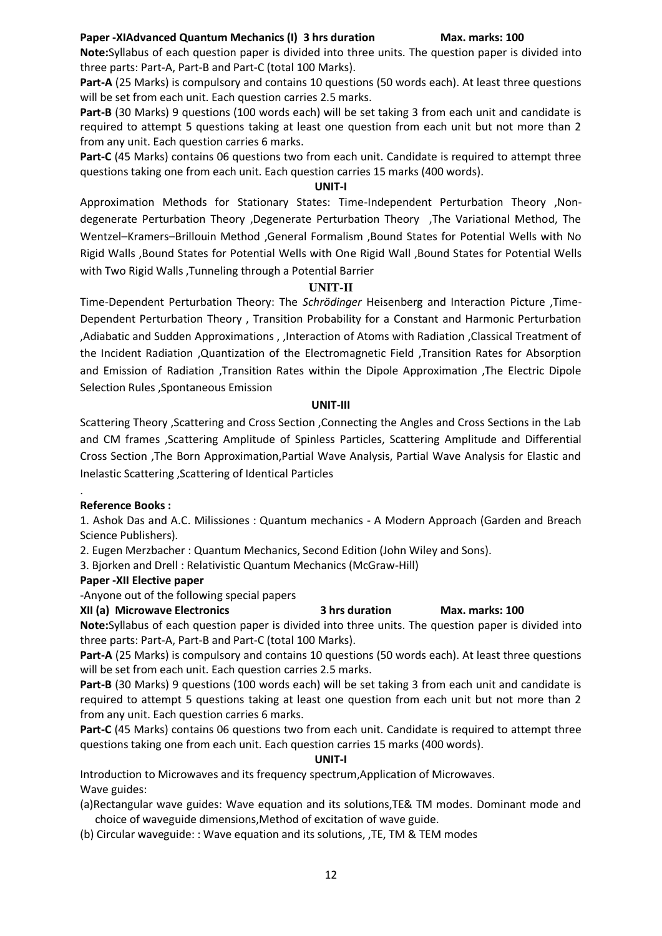**Note:**Syllabus of each question paper is divided into three units. The question paper is divided into three parts: Part-A, Part-B and Part-C (total 100 Marks).

**Part-A** (25 Marks) is compulsory and contains 10 questions (50 words each). At least three questions will be set from each unit. Each question carries 2.5 marks.

**Part-B** (30 Marks) 9 questions (100 words each) will be set taking 3 from each unit and candidate is required to attempt 5 questions taking at least one question from each unit but not more than 2 from any unit. Each question carries 6 marks.

Part-C (45 Marks) contains 06 questions two from each unit. Candidate is required to attempt three questions taking one from each unit. Each question carries 15 marks (400 words).

# **UNIT-I**

Approximation Methods for Stationary States: Time-Independent Perturbation Theory ,Nondegenerate Perturbation Theory ,Degenerate Perturbation Theory ,The Variational Method, The Wentzel–Kramers–Brillouin Method ,General Formalism ,Bound States for Potential Wells with No Rigid Walls ,Bound States for Potential Wells with One Rigid Wall ,Bound States for Potential Wells with Two Rigid Walls, Tunneling through a Potential Barrier

# **UNIT-II**

Time-Dependent Perturbation Theory: The *Schrödinger* Heisenberg and Interaction Picture ,Time-Dependent Perturbation Theory , Transition Probability for a Constant and Harmonic Perturbation ,Adiabatic and Sudden Approximations , ,Interaction of Atoms with Radiation ,Classical Treatment of the Incident Radiation ,Quantization of the Electromagnetic Field ,Transition Rates for Absorption and Emission of Radiation ,Transition Rates within the Dipole Approximation ,The Electric Dipole Selection Rules ,Spontaneous Emission

# **UNIT-III**

Scattering Theory ,Scattering and Cross Section ,Connecting the Angles and Cross Sections in the Lab and CM frames ,Scattering Amplitude of Spinless Particles, Scattering Amplitude and Differential Cross Section ,The Born Approximation,Partial Wave Analysis, Partial Wave Analysis for Elastic and Inelastic Scattering ,Scattering of Identical Particles

# . **Reference Books :**

1. Ashok Das and A.C. Milissiones : Quantum mechanics - A Modern Approach (Garden and Breach Science Publishers).

2. Eugen Merzbacher : Quantum Mechanics, Second Edition (John Wiley and Sons).

3. Bjorken and Drell : Relativistic Quantum Mechanics (McGraw-Hill)

# **Paper -XII Elective paper**

-Anyone out of the following special papers

# **XII (a) Microwave Electronics 3 hrs duration Max. marks: 100**

**Note:**Syllabus of each question paper is divided into three units. The question paper is divided into three parts: Part-A, Part-B and Part-C (total 100 Marks).

**Part-A** (25 Marks) is compulsory and contains 10 questions (50 words each). At least three questions will be set from each unit. Each question carries 2.5 marks.

**Part-B** (30 Marks) 9 questions (100 words each) will be set taking 3 from each unit and candidate is required to attempt 5 questions taking at least one question from each unit but not more than 2 from any unit. Each question carries 6 marks.

**Part-C** (45 Marks) contains 06 questions two from each unit. Candidate is required to attempt three questions taking one from each unit. Each question carries 15 marks (400 words).

# **UNIT-I**

Introduction to Microwaves and its frequency spectrum,Application of Microwaves. Wave guides:

(a)Rectangular wave guides: Wave equation and its solutions,TE& TM modes. Dominant mode and choice of waveguide dimensions,Method of excitation of wave guide.

(b) Circular waveguide: : Wave equation and its solutions, ,TE, TM & TEM modes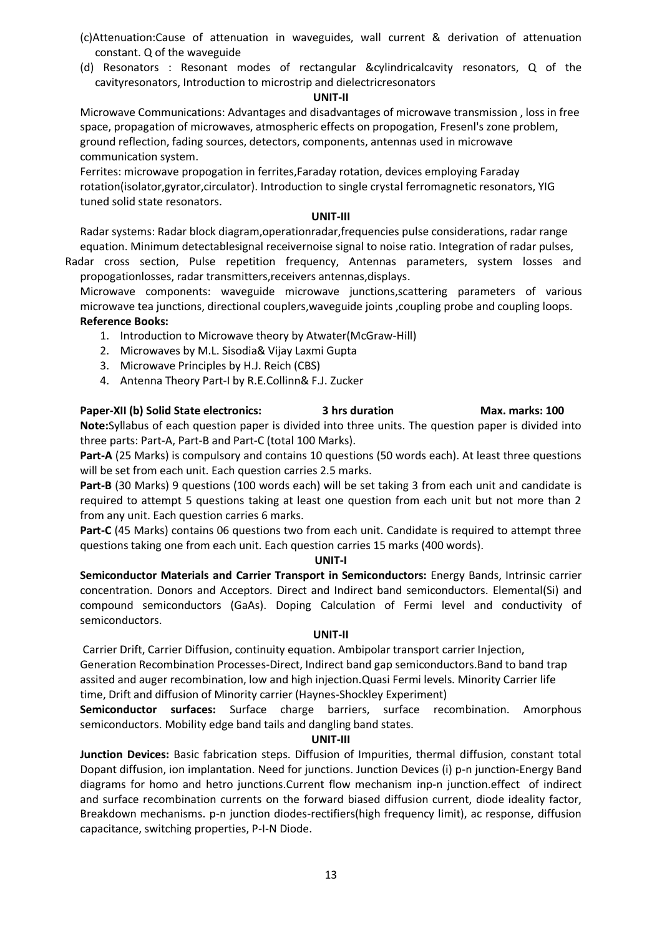- (c)Attenuation:Cause of attenuation in waveguides, wall current & derivation of attenuation constant. Q of the waveguide
- (d) Resonators : Resonant modes of rectangular &cylindricalcavity resonators, Q of the cavityresonators, Introduction to microstrip and dielectricresonators

# **UNIT-II**

Microwave Communications: Advantages and disadvantages of microwave transmission , loss in free space, propagation of microwaves, atmospheric effects on propogation, Fresenl's zone problem, ground reflection, fading sources, detectors, components, antennas used in microwave communication system.

Ferrites: microwave propogation in ferrites,Faraday rotation, devices employing Faraday rotation(isolator,gyrator,circulator). Introduction to single crystal ferromagnetic resonators, YIG tuned solid state resonators.

# **UNIT-III**

Radar systems: Radar block diagram,operationradar,frequencies pulse considerations, radar range equation. Minimum detectablesignal receivernoise signal to noise ratio. Integration of radar pulses,

Radar cross section, Pulse repetition frequency, Antennas parameters, system losses and propogationlosses, radar transmitters,receivers antennas,displays.

Microwave components: waveguide microwave junctions,scattering parameters of various microwave tea junctions, directional couplers,waveguide joints ,coupling probe and coupling loops. **Reference Books:**

- 1. Introduction to Microwave theory by Atwater(McGraw-Hill)
- 2. Microwaves by M.L. Sisodia& Vijay Laxmi Gupta
- 3. Microwave Principles by H.J. Reich (CBS)
- 4. Antenna Theory Part-I by R.E.Collinn& F.J. Zucker

# **Paper-XII (b) Solid State electronics: 3 hrs duration Max. marks: 100**

**Note:**Syllabus of each question paper is divided into three units. The question paper is divided into three parts: Part-A, Part-B and Part-C (total 100 Marks).

**Part-A** (25 Marks) is compulsory and contains 10 questions (50 words each). At least three questions will be set from each unit. Each question carries 2.5 marks.

**Part-B** (30 Marks) 9 questions (100 words each) will be set taking 3 from each unit and candidate is required to attempt 5 questions taking at least one question from each unit but not more than 2 from any unit. Each question carries 6 marks.

**Part-C** (45 Marks) contains 06 questions two from each unit. Candidate is required to attempt three questions taking one from each unit. Each question carries 15 marks (400 words).

# **UNIT-I**

**Semiconductor Materials and Carrier Transport in Semiconductors:** Energy Bands, Intrinsic carrier concentration. Donors and Acceptors. Direct and Indirect band semiconductors. Elemental(Si) and compound semiconductors (GaAs). Doping Calculation of Fermi level and conductivity of semiconductors.

# **UNIT-II**

Carrier Drift, Carrier Diffusion, continuity equation. Ambipolar transport carrier Injection, Generation Recombination Processes-Direct, Indirect band gap semiconductors.Band to band trap assited and auger recombination, low and high injection.Quasi Fermi levels. Minority Carrier life time, Drift and diffusion of Minority carrier (Haynes-Shockley Experiment)

**Semiconductor surfaces:** Surface charge barriers, surface recombination. Amorphous semiconductors. Mobility edge band tails and dangling band states.

# **UNIT-III**

**Junction Devices:** Basic fabrication steps. Diffusion of Impurities, thermal diffusion, constant total Dopant diffusion, ion implantation. Need for junctions. Junction Devices (i) p-n junction-Energy Band diagrams for homo and hetro junctions.Current flow mechanism inp-n junction.effect of indirect and surface recombination currents on the forward biased diffusion current, diode ideality factor, Breakdown mechanisms. p-n junction diodes-rectifiers(high frequency limit), ac response, diffusion capacitance, switching properties, P-I-N Diode.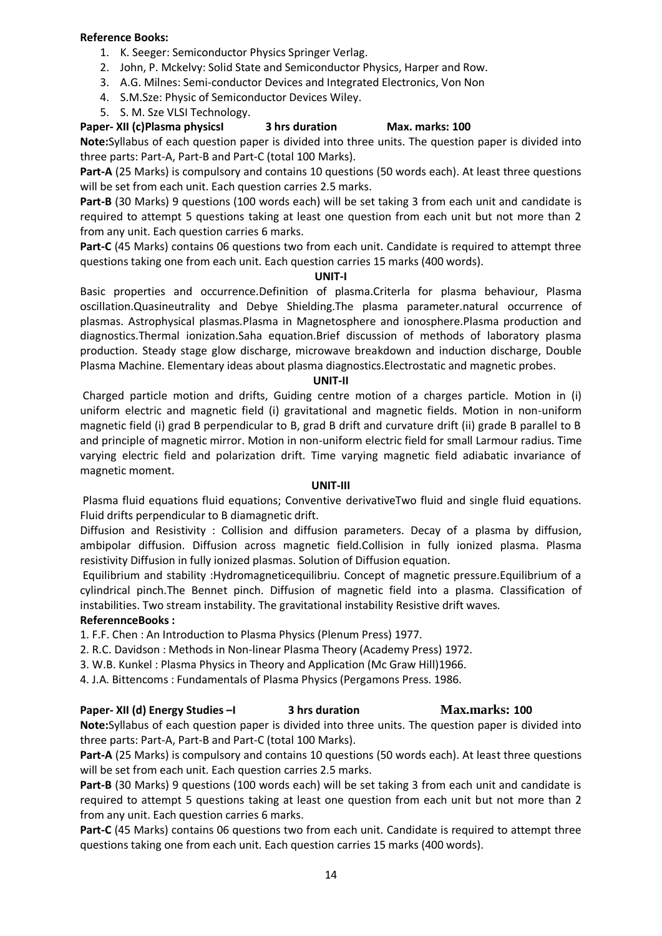# **Reference Books:**

- 1. K. Seeger: Semiconductor Physics Springer Verlag.
- 2. John, P. Mckelvy: Solid State and Semiconductor Physics, Harper and Row.
- 3. A.G. Milnes: Semi-conductor Devices and Integrated Electronics, Von Non
- 4. S.M.Sze: Physic of Semiconductor Devices Wiley.
- 5. S. M. Sze VLSI Technology.

# **Paper- XII (c)Plasma physicsI 3 hrs duration Max. marks: 100**

**Note:**Syllabus of each question paper is divided into three units. The question paper is divided into three parts: Part-A, Part-B and Part-C (total 100 Marks).

**Part-A** (25 Marks) is compulsory and contains 10 questions (50 words each). At least three questions will be set from each unit. Each question carries 2.5 marks.

**Part-B** (30 Marks) 9 questions (100 words each) will be set taking 3 from each unit and candidate is required to attempt 5 questions taking at least one question from each unit but not more than 2 from any unit. Each question carries 6 marks.

**Part-C** (45 Marks) contains 06 questions two from each unit. Candidate is required to attempt three questions taking one from each unit. Each question carries 15 marks (400 words).

# **UNIT-I**

Basic properties and occurrence.Definition of plasma.Criterla for plasma behaviour, Plasma oscillation.Quasineutrality and Debye Shielding.The plasma parameter.natural occurrence of plasmas. Astrophysical plasmas.Plasma in Magnetosphere and ionosphere.Plasma production and diagnostics.Thermal ionization.Saha equation.Brief discussion of methods of laboratory plasma production. Steady stage glow discharge, microwave breakdown and induction discharge, Double Plasma Machine. Elementary ideas about plasma diagnostics.Electrostatic and magnetic probes.

# **UNIT-II**

Charged particle motion and drifts, Guiding centre motion of a charges particle. Motion in (i) uniform electric and magnetic field (i) gravitational and magnetic fields. Motion in non-uniform magnetic field (i) grad B perpendicular to B, grad B drift and curvature drift (ii) grade B parallel to B and principle of magnetic mirror. Motion in non-uniform electric field for small Larmour radius. Time varying electric field and polarization drift. Time varying magnetic field adiabatic invariance of magnetic moment.

# **UNIT-III**

Plasma fluid equations fluid equations; Conventive derivativeTwo fluid and single fluid equations. Fluid drifts perpendicular to B diamagnetic drift.

Diffusion and Resistivity : Collision and diffusion parameters. Decay of a plasma by diffusion, ambipolar diffusion. Diffusion across magnetic field.Collision in fully ionized plasma. Plasma resistivity Diffusion in fully ionized plasmas. Solution of Diffusion equation.

Equilibrium and stability :Hydromagneticequilibriu. Concept of magnetic pressure.Equilibrium of a cylindrical pinch.The Bennet pinch. Diffusion of magnetic field into a plasma. Classification of instabilities. Two stream instability. The gravitational instability Resistive drift waves.

# **ReferennceBooks :**

1. F.F. Chen : An Introduction to Plasma Physics (Plenum Press) 1977.

- 2. R.C. Davidson : Methods in Non-linear Plasma Theory (Academy Press) 1972.
- 3. W.B. Kunkel : Plasma Physics in Theory and Application (Mc Graw Hill)1966.
- 4. J.A. Bittencoms : Fundamentals of Plasma Physics (Pergamons Press. 1986.

# **Paper- XII (d) Energy Studies –I 3 hrs duration Max.marks: 100**

**Note:**Syllabus of each question paper is divided into three units. The question paper is divided into three parts: Part-A, Part-B and Part-C (total 100 Marks).

**Part-A** (25 Marks) is compulsory and contains 10 questions (50 words each). At least three questions will be set from each unit. Each question carries 2.5 marks.

**Part-B** (30 Marks) 9 questions (100 words each) will be set taking 3 from each unit and candidate is required to attempt 5 questions taking at least one question from each unit but not more than 2 from any unit. Each question carries 6 marks.

**Part-C** (45 Marks) contains 06 questions two from each unit. Candidate is required to attempt three questions taking one from each unit. Each question carries 15 marks (400 words).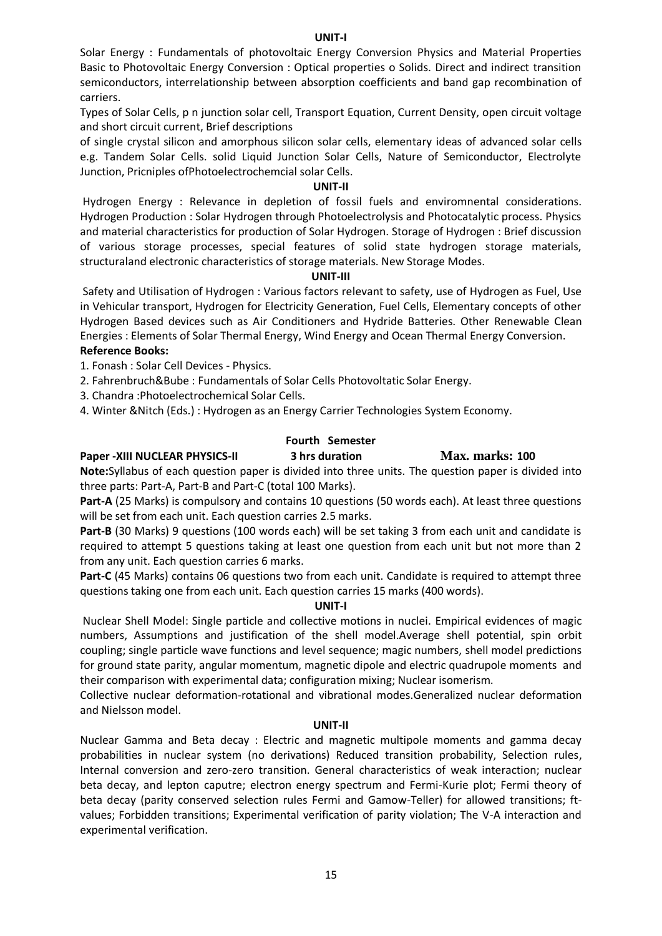#### **UNIT-I**

Solar Energy : Fundamentals of photovoltaic Energy Conversion Physics and Material Properties Basic to Photovoltaic Energy Conversion : Optical properties o Solids. Direct and indirect transition semiconductors, interrelationship between absorption coefficients and band gap recombination of carriers.

Types of Solar Cells, p n junction solar cell, Transport Equation, Current Density, open circuit voltage and short circuit current, Brief descriptions

of single crystal silicon and amorphous silicon solar cells, elementary ideas of advanced solar cells e.g. Tandem Solar Cells. solid Liquid Junction Solar Cells, Nature of Semiconductor, Electrolyte Junction, Pricniples ofPhotoelectrochemcial solar Cells.

# **UNIT-II**

Hydrogen Energy : Relevance in depletion of fossil fuels and enviromnental considerations. Hydrogen Production : Solar Hydrogen through Photoelectrolysis and Photocatalytic process. Physics and material characteristics for production of Solar Hydrogen. Storage of Hydrogen : Brief discussion of various storage processes, special features of solid state hydrogen storage materials, structuraland electronic characteristics of storage materials. New Storage Modes.

#### **UNIT-III**

Safety and Utilisation of Hydrogen : Various factors relevant to safety, use of Hydrogen as Fuel, Use in Vehicular transport, Hydrogen for Electricity Generation, Fuel Cells, Elementary concepts of other Hydrogen Based devices such as Air Conditioners and Hydride Batteries. Other Renewable Clean Energies : Elements of Solar Thermal Energy, Wind Energy and Ocean Thermal Energy Conversion. **Reference Books:**

1. Fonash : Solar Cell Devices - Physics.

2. Fahrenbruch&Bube : Fundamentals of Solar Cells Photovoltatic Solar Energy.

3. Chandra :Photoelectrochemical Solar Cells.

4. Winter &Nitch (Eds.) : Hydrogen as an Energy Carrier Technologies System Economy.

# **Fourth Semester**

# **Paper -XIII NUCLEAR PHYSICS-II 3 hrs duration Max. marks: 100**

**Note:**Syllabus of each question paper is divided into three units. The question paper is divided into three parts: Part-A, Part-B and Part-C (total 100 Marks).

**Part-A** (25 Marks) is compulsory and contains 10 questions (50 words each). At least three questions will be set from each unit. Each question carries 2.5 marks.

**Part-B** (30 Marks) 9 questions (100 words each) will be set taking 3 from each unit and candidate is required to attempt 5 questions taking at least one question from each unit but not more than 2 from any unit. Each question carries 6 marks.

**Part-C** (45 Marks) contains 06 questions two from each unit. Candidate is required to attempt three questions taking one from each unit. Each question carries 15 marks (400 words).

#### **UNIT-I**

Nuclear Shell Model: Single particle and collective motions in nuclei. Empirical evidences of magic numbers, Assumptions and justification of the shell model.Average shell potential, spin orbit coupling; single particle wave functions and level sequence; magic numbers, shell model predictions for ground state parity, angular momentum, magnetic dipole and electric quadrupole moments and their comparison with experimental data; configuration mixing; Nuclear isomerism.

Collective nuclear deformation-rotational and vibrational modes.Generalized nuclear deformation and Nielsson model.

#### **UNIT-II**

Nuclear Gamma and Beta decay : Electric and magnetic multipole moments and gamma decay probabilities in nuclear system (no derivations) Reduced transition probability, Selection rules, Internal conversion and zero-zero transition. General characteristics of weak interaction; nuclear beta decay, and lepton caputre; electron energy spectrum and Fermi-Kurie plot; Fermi theory of beta decay (parity conserved selection rules Fermi and Gamow-Teller) for allowed transitions; ftvalues; Forbidden transitions; Experimental verification of parity violation; The V-A interaction and experimental verification.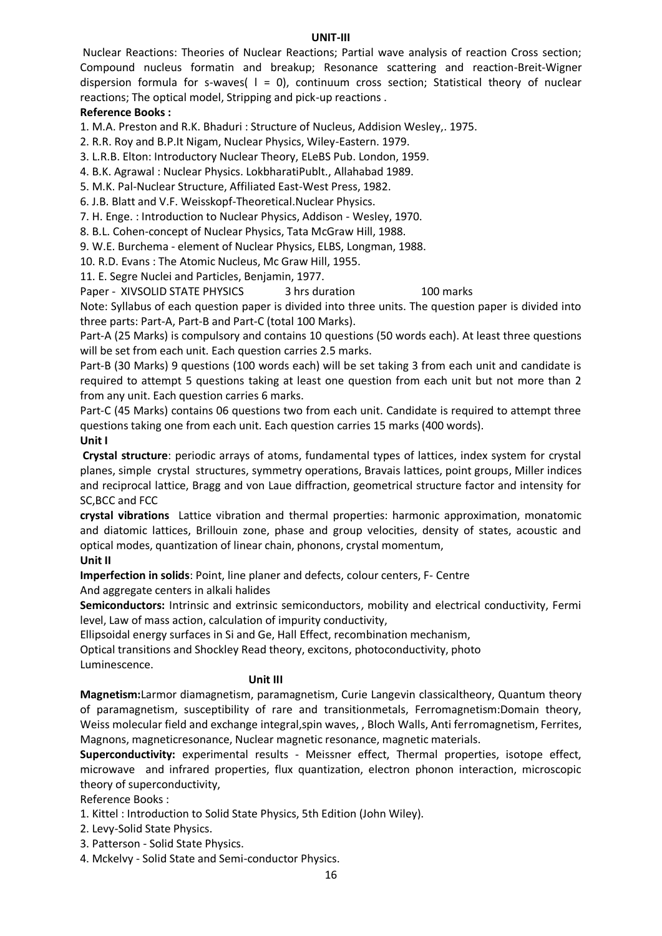#### **UNIT-III**

Nuclear Reactions: Theories of Nuclear Reactions; Partial wave analysis of reaction Cross section; Compound nucleus formatin and breakup; Resonance scattering and reaction-Breit-Wigner dispersion formula for s-waves(  $l = 0$ ), continuum cross section; Statistical theory of nuclear reactions; The optical model, Stripping and pick-up reactions .

# **Reference Books :**

1. M.A. Preston and R.K. Bhaduri : Structure of Nucleus, Addision Wesley,. 1975.

2. R.R. Roy and B.P.It Nigam, Nuclear Physics, Wiley-Eastern. 1979.

3. L.R.B. Elton: Introductory Nuclear Theory, ELeBS Pub. London, 1959.

4. B.K. Agrawal : Nuclear Physics. LokbharatiPublt., Allahabad 1989.

5. M.K. Pal-Nuclear Structure, Affiliated East-West Press, 1982.

6. J.B. Blatt and V.F. Weisskopf-Theoretical.Nuclear Physics.

7. H. Enge. : Introduction to Nuclear Physics, Addison - Wesley, 1970.

8. B.L. Cohen-concept of Nuclear Physics, Tata McGraw Hill, 1988.

9. W.E. Burchema - element of Nuclear Physics, ELBS, Longman, 1988.

10. R.D. Evans : The Atomic Nucleus, Mc Graw Hill, 1955.

11. E. Segre Nuclei and Particles, Benjamin, 1977.

Paper - XIVSOLID STATE PHYSICS 3 hrs duration 100 marks Note: Syllabus of each question paper is divided into three units. The question paper is divided into three parts: Part-A, Part-B and Part-C (total 100 Marks).

Part-A (25 Marks) is compulsory and contains 10 questions (50 words each). At least three questions will be set from each unit. Each question carries 2.5 marks.

Part-B (30 Marks) 9 questions (100 words each) will be set taking 3 from each unit and candidate is required to attempt 5 questions taking at least one question from each unit but not more than 2 from any unit. Each question carries 6 marks.

Part-C (45 Marks) contains 06 questions two from each unit. Candidate is required to attempt three questions taking one from each unit. Each question carries 15 marks (400 words).

**Unit I**

**Crystal structure**: periodic arrays of atoms, fundamental types of lattices, index system for crystal planes, simple crystal structures, symmetry operations, Bravais lattices, point groups, Miller indices and reciprocal lattice, Bragg and von Laue diffraction, geometrical structure factor and intensity for SC,BCC and FCC

**crystal vibrations** Lattice vibration and thermal properties: harmonic approximation, monatomic and diatomic lattices, Brillouin zone, phase and group velocities, density of states, acoustic and optical modes, quantization of linear chain, phonons, crystal momentum,

# **Unit II**

**Imperfection in solids**: Point, line planer and defects, colour centers, F- Centre

And aggregate centers in alkali halides

**Semiconductors:** Intrinsic and extrinsic semiconductors, mobility and electrical conductivity, Fermi level, Law of mass action, calculation of impurity conductivity,

Ellipsoidal energy surfaces in Si and Ge, Hall Effect, recombination mechanism,

Optical transitions and Shockley Read theory, excitons, photoconductivity, photo Luminescence.

# **Unit III**

**Magnetism:**Larmor diamagnetism, paramagnetism, Curie Langevin classicaltheory, Quantum theory of paramagnetism, susceptibility of rare and transitionmetals, Ferromagnetism:Domain theory, Weiss molecular field and exchange integral,spin waves, , Bloch Walls, Anti ferromagnetism, Ferrites, Magnons, magneticresonance, Nuclear magnetic resonance, magnetic materials.

**Superconductivity:** experimental results - Meissner effect, Thermal properties, isotope effect, microwave and infrared properties, flux quantization, electron phonon interaction, microscopic theory of superconductivity,

Reference Books :

1. Kittel : Introduction to Solid State Physics, 5th Edition (John Wiley).

2. Levy-Solid State Physics.

3. Patterson - Solid State Physics.

4. Mckelvy - Solid State and Semi-conductor Physics.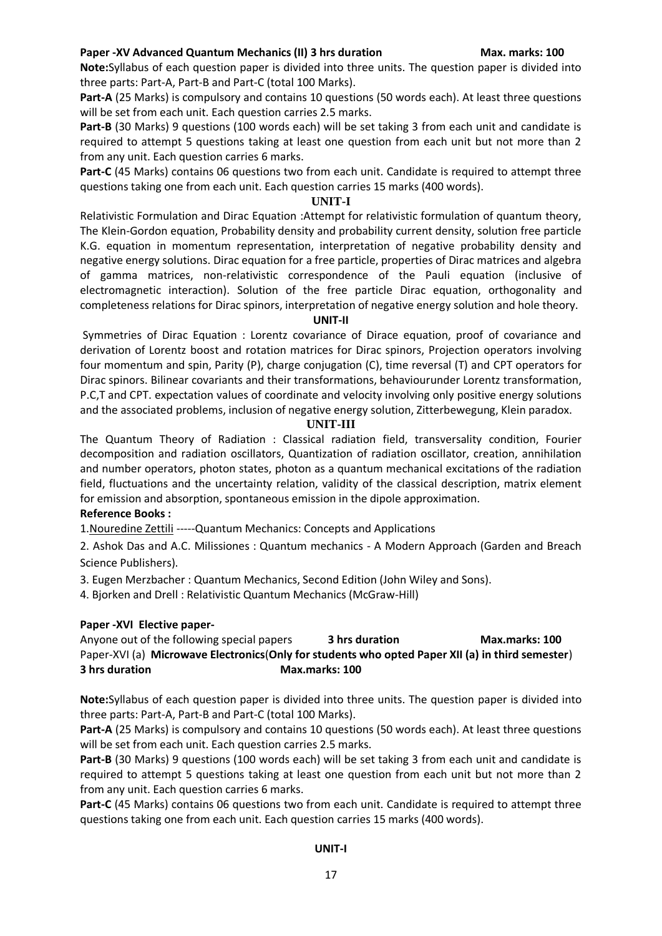# **Paper -XV Advanced Quantum Mechanics (II) 3 hrs duration Max. marks: 100**

**Note:**Syllabus of each question paper is divided into three units. The question paper is divided into three parts: Part-A, Part-B and Part-C (total 100 Marks).

**Part-A** (25 Marks) is compulsory and contains 10 questions (50 words each). At least three questions will be set from each unit. Each question carries 2.5 marks.

**Part-B** (30 Marks) 9 questions (100 words each) will be set taking 3 from each unit and candidate is required to attempt 5 questions taking at least one question from each unit but not more than 2 from any unit. Each question carries 6 marks.

**Part-C** (45 Marks) contains 06 questions two from each unit. Candidate is required to attempt three questions taking one from each unit. Each question carries 15 marks (400 words).

#### **UNIT-I**

Relativistic Formulation and Dirac Equation :Attempt for relativistic formulation of quantum theory, The Klein-Gordon equation, Probability density and probability current density, solution free particle K.G. equation in momentum representation, interpretation of negative probability density and negative energy solutions. Dirac equation for a free particle, properties of Dirac matrices and algebra of gamma matrices, non-relativistic correspondence of the Pauli equation (inclusive of electromagnetic interaction). Solution of the free particle Dirac equation, orthogonality and completeness relations for Dirac spinors, interpretation of negative energy solution and hole theory.

#### **UNIT-II**

Symmetries of Dirac Equation : Lorentz covariance of Dirace equation, proof of covariance and derivation of Lorentz boost and rotation matrices for Dirac spinors, Projection operators involving four momentum and spin, Parity (P), charge conjugation (C), time reversal (T) and CPT operators for Dirac spinors. Bilinear covariants and their transformations, behaviourunder Lorentz transformation, P.C,T and CPT. expectation values of coordinate and velocity involving only positive energy solutions and the associated problems, inclusion of negative energy solution, Zitterbewegung, Klein paradox.

#### **UNIT-III**

The Quantum Theory of Radiation : Classical radiation field, transversality condition, Fourier decomposition and radiation oscillators, Quantization of radiation oscillator, creation, annihilation and number operators, photon states, photon as a quantum mechanical excitations of the radiation field, fluctuations and the uncertainty relation, validity of the classical description, matrix element for emission and absorption, spontaneous emission in the dipole approximation.

# **Reference Books :**

1[.Nouredine Zettili](https://www.chegg.com/homework-help/nouredine-zettili-author) -----Quantum Mechanics: Concepts and Applications

2. Ashok Das and A.C. Milissiones : Quantum mechanics - A Modern Approach (Garden and Breach Science Publishers).

3. Eugen Merzbacher : Quantum Mechanics, Second Edition (John Wiley and Sons).

4. Bjorken and Drell : Relativistic Quantum Mechanics (McGraw-Hill)

# **Paper -XVI Elective paper-**

Anyone out of the following special papers **3 hrs duration Max.marks: 100** Paper-XVI (a) **Microwave Electronics**(**Only for students who opted Paper XII (a) in third semester**) **3 hrs duration Max.marks: 100** 

**Note:**Syllabus of each question paper is divided into three units. The question paper is divided into three parts: Part-A, Part-B and Part-C (total 100 Marks).

**Part-A** (25 Marks) is compulsory and contains 10 questions (50 words each). At least three questions will be set from each unit. Each question carries 2.5 marks.

**Part-B** (30 Marks) 9 questions (100 words each) will be set taking 3 from each unit and candidate is required to attempt 5 questions taking at least one question from each unit but not more than 2 from any unit. Each question carries 6 marks.

**Part-C** (45 Marks) contains 06 questions two from each unit. Candidate is required to attempt three questions taking one from each unit. Each question carries 15 marks (400 words).

# **UNIT-I**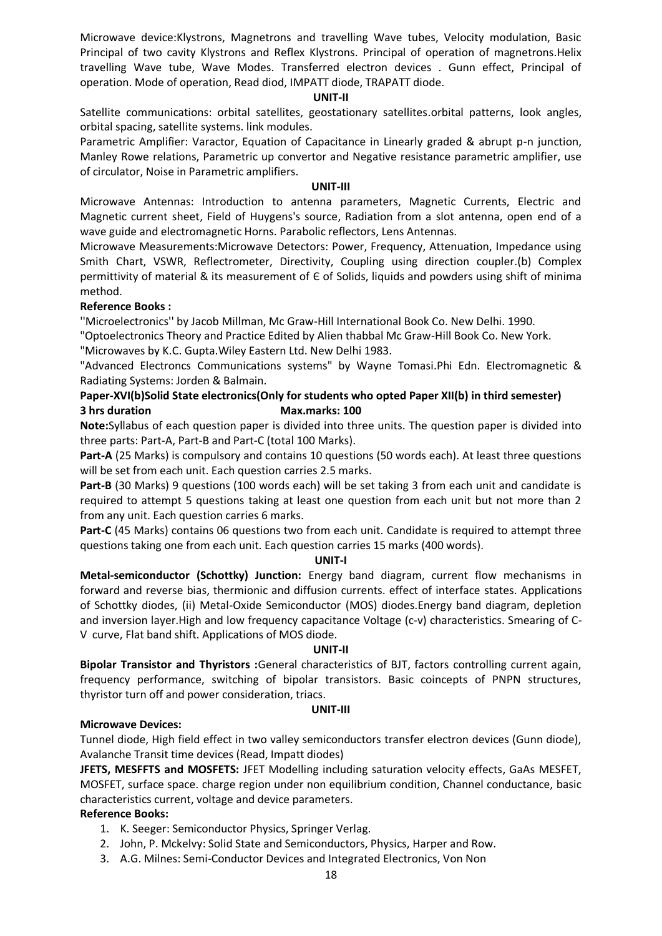Microwave device:Klystrons, Magnetrons and travelling Wave tubes, Velocity modulation, Basic Principal of two cavity Klystrons and Reflex Klystrons. Principal of operation of magnetrons.Helix travelling Wave tube, Wave Modes. Transferred electron devices . Gunn effect, Principal of operation. Mode of operation, Read diod, IMPATT diode, TRAPATT diode.

#### **UNIT-II**

Satellite communications: orbital satellites, geostationary satellites.orbital patterns, look angles, orbital spacing, satellite systems. link modules.

Parametric Amplifier: Varactor, Equation of Capacitance in Linearly graded & abrupt p-n junction, Manley Rowe relations, Parametric up convertor and Negative resistance parametric amplifier, use of circulator, Noise in Parametric amplifiers.

#### **UNIT-III**

Microwave Antennas: Introduction to antenna parameters, Magnetic Currents, Electric and Magnetic current sheet, Field of Huygens's source, Radiation from a slot antenna, open end of a wave guide and electromagnetic Horns. Parabolic reflectors, Lens Antennas.

Microwave Measurements:Microwave Detectors: Power, Frequency, Attenuation, Impedance using Smith Chart, VSWR, Reflectrometer, Directivity, Coupling using direction coupler.(b) Complex permittivity of material & its measurement of Є of Solids, liquids and powders using shift of minima method.

# **Reference Books :**

''Microelectronics'' by Jacob Millman, Mc Graw-Hill International Book Co. New Delhi. 1990.

"Optoelectronics Theory and Practice Edited by Alien thabbal Mc Graw-Hill Book Co. New York.

"Microwaves by K.C. Gupta.Wiley Eastern Ltd. New Delhi 1983.

"Advanced Electroncs Communications systems" by Wayne Tomasi.Phi Edn. Electromagnetic & Radiating Systems: Jorden & Balmain.

# **Paper-XVI(b)Solid State electronics(Only for students who opted Paper XII(b) in third semester) 3 hrs duration** Max.marks: 100

**Note:**Syllabus of each question paper is divided into three units. The question paper is divided into three parts: Part-A, Part-B and Part-C (total 100 Marks).

**Part-A** (25 Marks) is compulsory and contains 10 questions (50 words each). At least three questions will be set from each unit. Each question carries 2.5 marks.

**Part-B** (30 Marks) 9 questions (100 words each) will be set taking 3 from each unit and candidate is required to attempt 5 questions taking at least one question from each unit but not more than 2 from any unit. Each question carries 6 marks.

**Part-C** (45 Marks) contains 06 questions two from each unit. Candidate is required to attempt three questions taking one from each unit. Each question carries 15 marks (400 words).

# **UNIT-I**

**Metal-semiconductor (Schottky) Junction:** Energy band diagram, current flow mechanisms in forward and reverse bias, thermionic and diffusion currents. effect of interface states. Applications of Schottky diodes, (ii) Metal-Oxide Semiconductor (MOS) diodes.Energy band diagram, depletion and inversion layer.High and low frequency capacitance Voltage (c-v) characteristics. Smearing of C-V curve, Flat band shift. Applications of MOS diode.

# **UNIT-II**

**Bipolar Transistor and Thyristors :**General characteristics of BJT, factors controlling current again, frequency performance, switching of bipolar transistors. Basic coincepts of PNPN structures, thyristor turn off and power consideration, triacs.

# **UNIT-III**

# **Microwave Devices:**

Tunnel diode, High field effect in two valley semiconductors transfer electron devices (Gunn diode), Avalanche Transit time devices (Read, Impatt diodes)

**JFETS, MESFFTS and MOSFETS:** JFET Modelling including saturation velocity effects, GaAs MESFET, MOSFET, surface space. charge region under non equilibrium condition, Channel conductance, basic characteristics current, voltage and device parameters.

# **Reference Books:**

- 1. K. Seeger: Semiconductor Physics, Springer Verlag.
- 2. John, P. Mckelvy: Solid State and Semiconductors, Physics, Harper and Row.
- 3. A.G. Milnes: Semi-Conductor Devices and Integrated Electronics, Von Non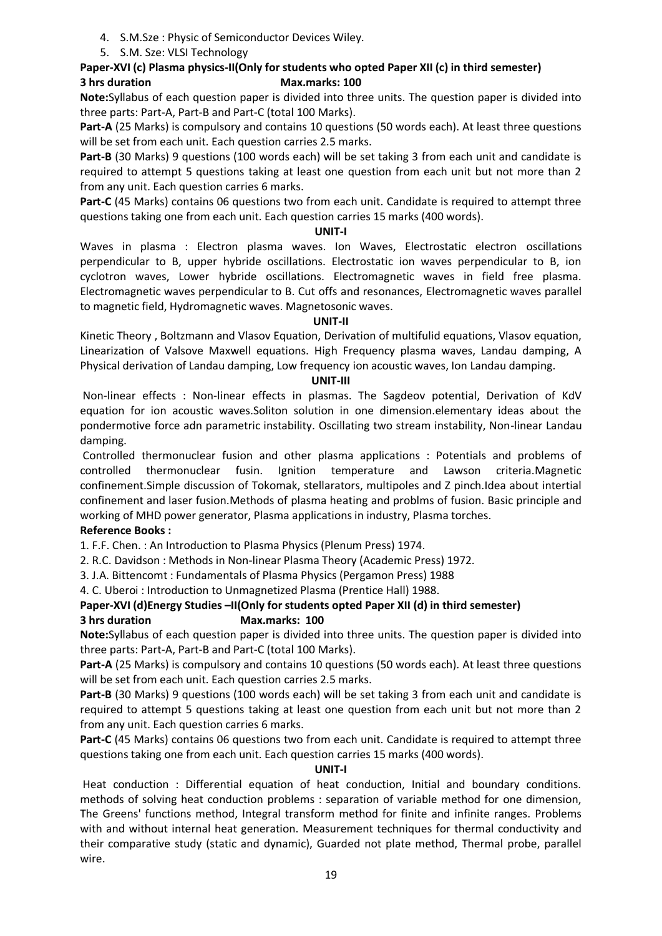- 4. S.M.Sze : Physic of Semiconductor Devices Wiley.
- 5. S.M. Sze: VLSI Technology

# **Paper-XVI (c) Plasma physics-II(Only for students who opted Paper XII (c) in third semester) 3 hrs duration Max.marks: 100**

**Note:**Syllabus of each question paper is divided into three units. The question paper is divided into three parts: Part-A, Part-B and Part-C (total 100 Marks).

**Part-A** (25 Marks) is compulsory and contains 10 questions (50 words each). At least three questions will be set from each unit. Each question carries 2.5 marks.

Part-B (30 Marks) 9 questions (100 words each) will be set taking 3 from each unit and candidate is required to attempt 5 questions taking at least one question from each unit but not more than 2 from any unit. Each question carries 6 marks.

**Part-C** (45 Marks) contains 06 questions two from each unit. Candidate is required to attempt three questions taking one from each unit. Each question carries 15 marks (400 words).

# **UNIT-I**

Waves in plasma : Electron plasma waves. Ion Waves, Electrostatic electron oscillations perpendicular to B, upper hybride oscillations. Electrostatic ion waves perpendicular to B, ion cyclotron waves, Lower hybride oscillations. Electromagnetic waves in field free plasma. Electromagnetic waves perpendicular to B. Cut offs and resonances, Electromagnetic waves parallel to magnetic field, Hydromagnetic waves. Magnetosonic waves.

# **UNIT-II**

Kinetic Theory , Boltzmann and Vlasov Equation, Derivation of multifulid equations, Vlasov equation, Linearization of Valsove Maxwell equations. High Frequency plasma waves, Landau damping, A Physical derivation of Landau damping, Low frequency ion acoustic waves, Ion Landau damping.

# **UNIT-III**

Non-linear effects : Non-linear effects in plasmas. The Sagdeov potential, Derivation of KdV equation for ion acoustic waves.Soliton solution in one dimension.elementary ideas about the pondermotive force adn parametric instability. Oscillating two stream instability, Non-linear Landau damping.

Controlled thermonuclear fusion and other plasma applications : Potentials and problems of controlled thermonuclear fusin. Ignition temperature and Lawson criteria.Magnetic confinement.Simple discussion of Tokomak, stellarators, multipoles and Z pinch.Idea about intertial confinement and laser fusion.Methods of plasma heating and problms of fusion. Basic principle and working of MHD power generator, Plasma applications in industry, Plasma torches.

# **Reference Books :**

1. F.F. Chen. : An Introduction to Plasma Physics (Plenum Press) 1974.

2. R.C. Davidson : Methods in Non-linear Plasma Theory (Academic Press) 1972.

3. J.A. Bittencomt : Fundamentals of Plasma Physics (Pergamon Press) 1988

4. C. Uberoi : Introduction to Unmagnetized Plasma (Prentice Hall) 1988.

# **Paper-XVI (d)Energy Studies –II(Only for students opted Paper XII (d) in third semester) 3 hrs duration Max.marks: 100**

**Note:**Syllabus of each question paper is divided into three units. The question paper is divided into three parts: Part-A, Part-B and Part-C (total 100 Marks).

**Part-A** (25 Marks) is compulsory and contains 10 questions (50 words each). At least three questions will be set from each unit. Each question carries 2.5 marks.

**Part-B** (30 Marks) 9 questions (100 words each) will be set taking 3 from each unit and candidate is required to attempt 5 questions taking at least one question from each unit but not more than 2 from any unit. Each question carries 6 marks.

**Part-C** (45 Marks) contains 06 questions two from each unit. Candidate is required to attempt three questions taking one from each unit. Each question carries 15 marks (400 words).

# **UNIT-I**

Heat conduction : Differential equation of heat conduction, Initial and boundary conditions. methods of solving heat conduction problems : separation of variable method for one dimension, The Greens' functions method, Integral transform method for finite and infinite ranges. Problems with and without internal heat generation. Measurement techniques for thermal conductivity and their comparative study (static and dynamic), Guarded not plate method, Thermal probe, parallel wire.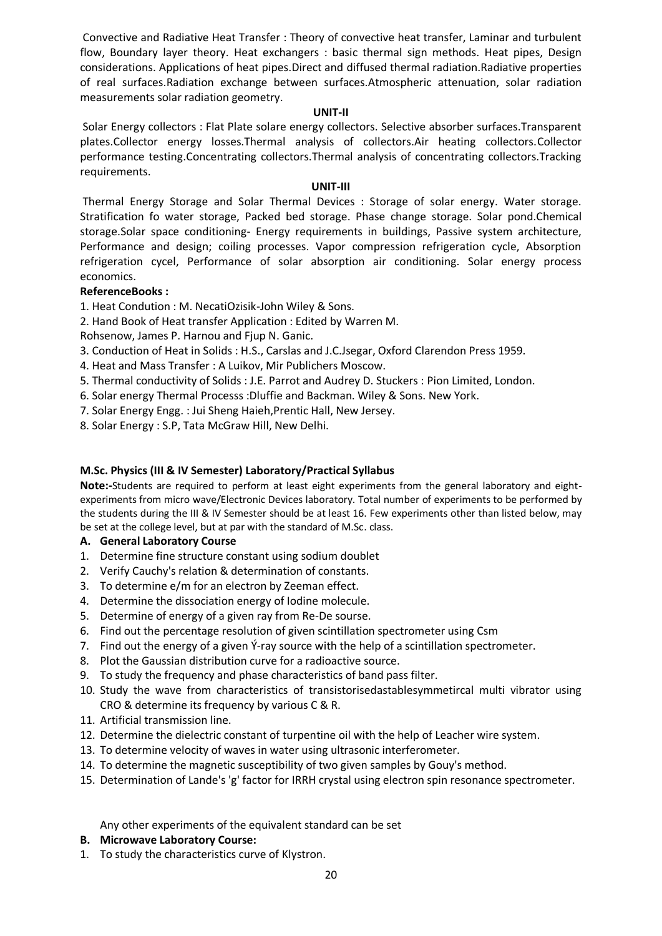Convective and Radiative Heat Transfer : Theory of convective heat transfer, Laminar and turbulent flow, Boundary layer theory. Heat exchangers : basic thermal sign methods. Heat pipes, Design considerations. Applications of heat pipes.Direct and diffused thermal radiation.Radiative properties of real surfaces.Radiation exchange between surfaces.Atmospheric attenuation, solar radiation measurements solar radiation geometry.

#### **UNIT-II**

Solar Energy collectors : Flat Plate solare energy collectors. Selective absorber surfaces.Transparent plates.Collector energy losses.Thermal analysis of collectors.Air heating collectors.Collector performance testing.Concentrating collectors.Thermal analysis of concentrating collectors.Tracking requirements.

#### **UNIT-III**

Thermal Energy Storage and Solar Thermal Devices : Storage of solar energy. Water storage. Stratification fo water storage, Packed bed storage. Phase change storage. Solar pond.Chemical storage.Solar space conditioning- Energy requirements in buildings, Passive system architecture, Performance and design; coiling processes. Vapor compression refrigeration cycle, Absorption refrigeration cycel, Performance of solar absorption air conditioning. Solar energy process economics.

# **ReferenceBooks :**

1. Heat Condution : M. NecatiOzisik-John Wiley & Sons.

2. Hand Book of Heat transfer Application : Edited by Warren M.

Rohsenow, James P. Harnou and Fjup N. Ganic.

- 3. Conduction of Heat in Solids : H.S., Carslas and J.C.Jsegar, Oxford Clarendon Press 1959.
- 4. Heat and Mass Transfer : A Luikov, Mir Publichers Moscow.
- 5. Thermal conductivity of Solids : J.E. Parrot and Audrey D. Stuckers : Pion Limited, London.
- 6. Solar energy Thermal Processs :Dluffie and Backman. Wiley & Sons. New York.
- 7. Solar Energy Engg. : Jui Sheng Haieh,Prentic Hall, New Jersey.
- 8. Solar Energy : S.P, Tata McGraw Hill, New Delhi.

# **M.Sc. Physics (III & IV Semester) Laboratory/Practical Syllabus**

**Note:-**Students are required to perform at least eight experiments from the general laboratory and eightexperiments from micro wave/Electronic Devices laboratory. Total number of experiments to be performed by the students during the III & IV Semester should be at least 16. Few experiments other than listed below, may be set at the college level, but at par with the standard of M.Sc. class.

# **A. General Laboratory Course**

- 1. Determine fine structure constant using sodium doublet
- 2. Verify Cauchy's relation & determination of constants.
- 3. To determine e/m for an electron by Zeeman effect.
- 4. Determine the dissociation energy of Iodine molecule.
- 5. Determine of energy of a given ray from Re-De sourse.
- 6. Find out the percentage resolution of given scintillation spectrometer using Csm
- 7. Find out the energy of a given  $\hat{Y}$ -ray source with the help of a scintillation spectrometer.
- 8. Plot the Gaussian distribution curve for a radioactive source.
- 9. To study the frequency and phase characteristics of band pass filter.
- 10. Study the wave from characteristics of transistorisedastablesymmetircal multi vibrator using CRO & determine its frequency by various C & R.
- 11. Artificial transmission line.
- 12. Determine the dielectric constant of turpentine oil with the help of Leacher wire system.
- 13. To determine velocity of waves in water using ultrasonic interferometer.
- 14. To determine the magnetic susceptibility of two given samples by Gouy's method.
- 15. Determination of Lande's 'g' factor for IRRH crystal using electron spin resonance spectrometer.

Any other experiments of the equivalent standard can be set

# **B. Microwave Laboratory Course:**

1. To study the characteristics curve of Klystron.